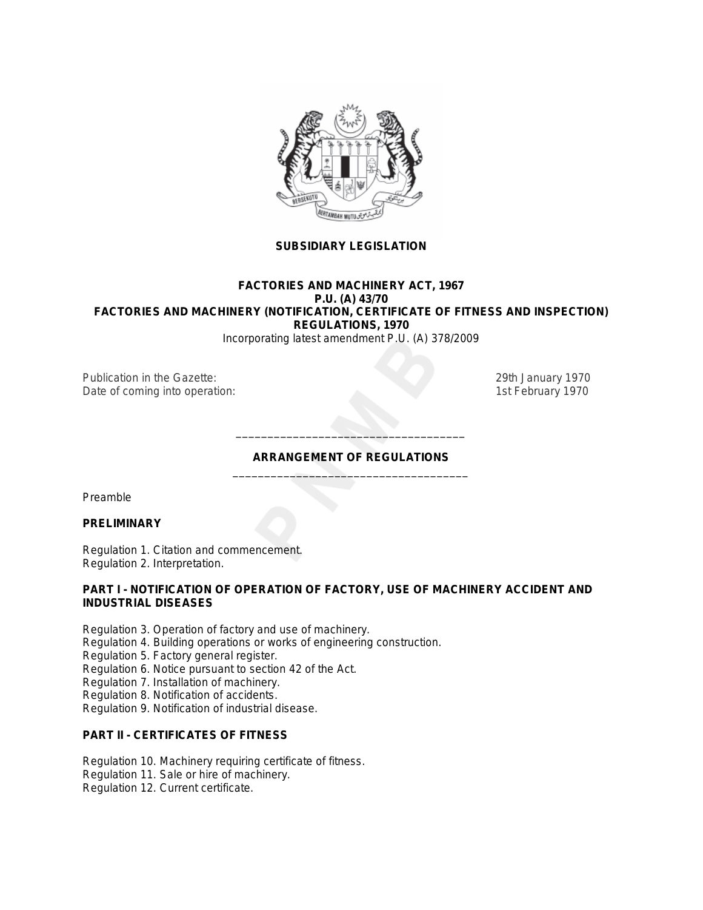

# **SUBSIDIARY LEGISLATION**

# **FACTORIES AND MACHINERY ACT, 1967 P.U. (A) 43/70 FACTORIES AND MACHINERY (NOTIFICATION, CERTIFICATE OF FITNESS AND INSPECTION) REGULATIONS, 1970**

*Incorporating latest amendment P.U. (A) 378/2009*

Publication in the *Gazette*: 29th January 1970 Date of coming into operation: 15th February 1970

# **ARRANGEMENT OF REGULATIONS** \_\_\_\_\_\_\_\_\_\_\_\_\_\_\_\_\_\_\_\_\_\_\_\_\_\_\_\_\_\_\_\_\_\_\_\_\_

\_\_\_\_\_\_\_\_\_\_\_\_\_\_\_\_\_\_\_\_\_\_\_\_\_\_\_\_\_\_\_\_\_\_\_\_

Preamble

# **PRELIMINARY**

Regulation 1. Citation and commencement. Regulation 2. Interpretation.

# **PART I - NOTIFICATION OF OPERATION OF FACTORY, USE OF MACHINERY ACCIDENT AND INDUSTRIAL DISEASES**

- Regulation 3. Operation of factory and use of machinery.
- Regulation 4. Building operations or works of engineering construction.
- Regulation 5. Factory general register.
- Regulation 6. Notice pursuant to section 42 of the Act.
- Regulation 7. Installation of machinery.
- Regulation 8. Notification of accidents.
- Regulation 9. Notification of industrial disease.

# **PART II - CERTIFICATES OF FITNESS**

- Regulation 10. Machinery requiring certificate of fitness.
- Regulation 11. Sale or hire of machinery.
- Regulation 12. Current certificate.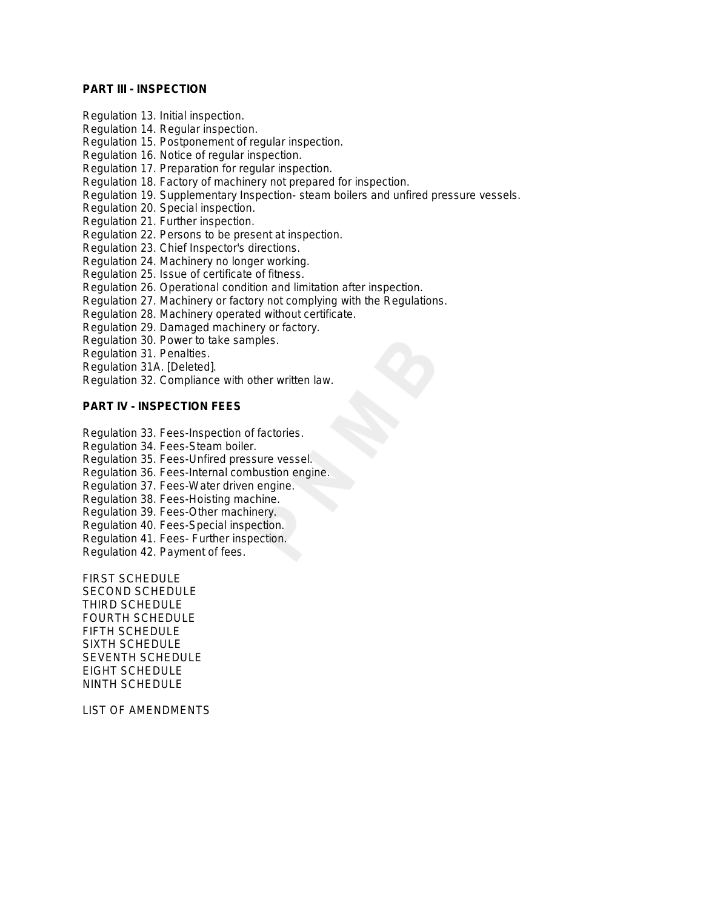# **PART III - INSPECTION**

- Regulation 13. Initial inspection.
- Regulation 14. Regular inspection.
- Regulation 15. Postponement of regular inspection.
- Regulation 16. Notice of regular inspection.
- Regulation 17. Preparation for regular inspection.
- Regulation 18. Factory of machinery not prepared for inspection.
- Regulation 19. Supplementary Inspection- steam boilers and unfired pressure vessels.
- Regulation 20. Special inspection.
- Regulation 21. Further inspection.
- Regulation 22. Persons to be present at inspection.
- Regulation 23. Chief Inspector's directions.
- Regulation 24. Machinery no longer working.
- Regulation 25. Issue of certificate of fitness.
- Regulation 26. Operational condition and limitation after inspection.
- Regulation 27. Machinery or factory not complying with the Regulations.
- Regulation 28. Machinery operated without certificate.
- Regulation 29. Damaged machinery or factory.
- Regulation 30. Power to take samples.
- Regulation 31. Penalties.
- Regulation 31A. [Deleted].
- Regulation 32. Compliance with other written law.

# **PART IV - INSPECTION FEES**

- Regulation 33. Fees-Inspection of factories.
- Regulation 34. Fees-Steam boiler.
- Regulation 35. Fees-Unfired pressure vessel.
- Regulation 36. Fees-Internal combustion engine.
- Regulation 37. Fees-Water driven engine.
- Regulation 38. Fees-Hoisting machine.
- Regulation 39. Fees-Other machinery.
- Regulation 40. Fees-Special inspection.
- Regulation 41. Fees- Further inspection.
- Regulation 42. Payment of fees.

FIRST SCHEDULE SECOND SCHEDULE THIRD SCHEDULE FOURTH SCHEDULE FIFTH SCHEDULE SIXTH SCHEDULE SEVENTH SCHEDULE EIGHT SCHEDULE NINTH SCHEDULE

LIST OF AMENDMENTS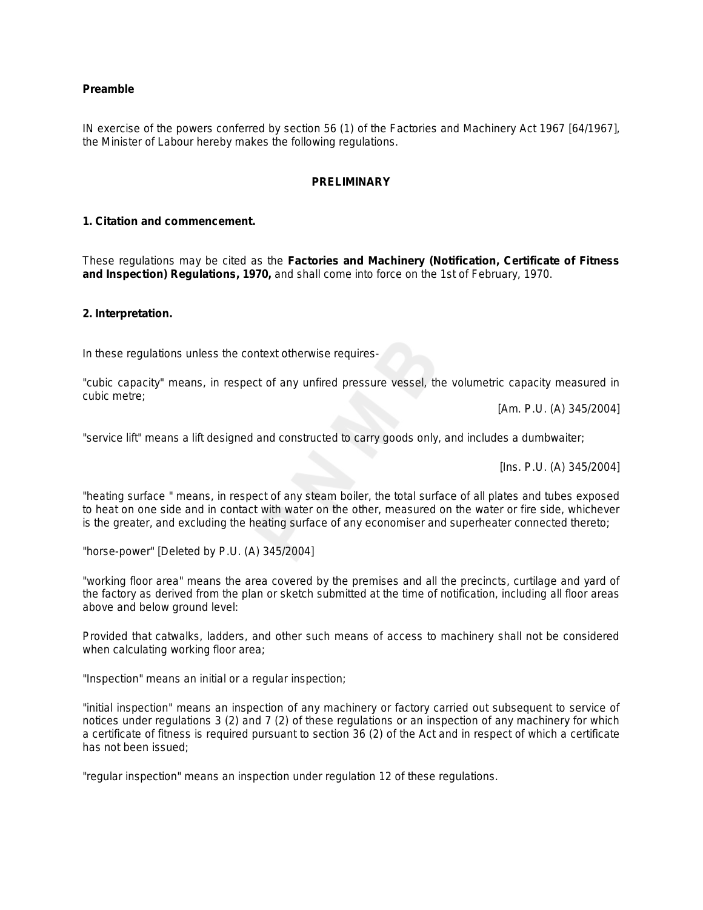# **Preamble**

IN exercise of the powers conferred by section 56 (1) of the Factories and Machinery Act 1967 *[64/1967]*, the Minister of Labour hereby makes the following regulations.

#### **PRELIMINARY**

# **1. Citation and commencement.**

These regulations may be cited as the **Factories and Machinery (Notification, Certificate of Fitness and Inspection) Regulations, 1970,** and shall come into force on the 1st of February, 1970.

# **2. Interpretation.**

In these regulations unless the context otherwise requires-

"cubic capacity" means, in respect of any unfired pressure vessel, the volumetric capacity measured in cubic metre;

*[Am. P.U. (A) 345/2004]*

"service lift" means a lift designed and constructed to carry goods only, and includes a dumbwaiter;

*[Ins. P.U. (A) 345/2004]*

"heating surface " means, in respect of any steam boiler, the total surface of all plates and tubes exposed to heat on one side and in contact with water on the other, measured on the water or fire side, whichever is the greater, and excluding the heating surface of any economiser and superheater connected thereto;

"horse-power" *[Deleted by P.U. (A) 345/2004]*

"working floor area" means the area covered by the premises and all the precincts, curtilage and yard of the factory as derived from the plan or sketch submitted at the time of notification, including all floor areas above and below ground level:

Provided that catwalks, ladders, and other such means of access to machinery shall not be considered when calculating working floor area;

"Inspection" means an initial or a regular inspection;

"initial inspection" means an inspection of any machinery or factory carried out subsequent to service of notices under regulations 3 (2) and 7 (2) of these regulations or an inspection of any machinery for which a certificate of fitness is required pursuant to section 36 (2) of the Act and in respect of which a certificate has not been issued;

"regular inspection" means an inspection under regulation 12 of these regulations.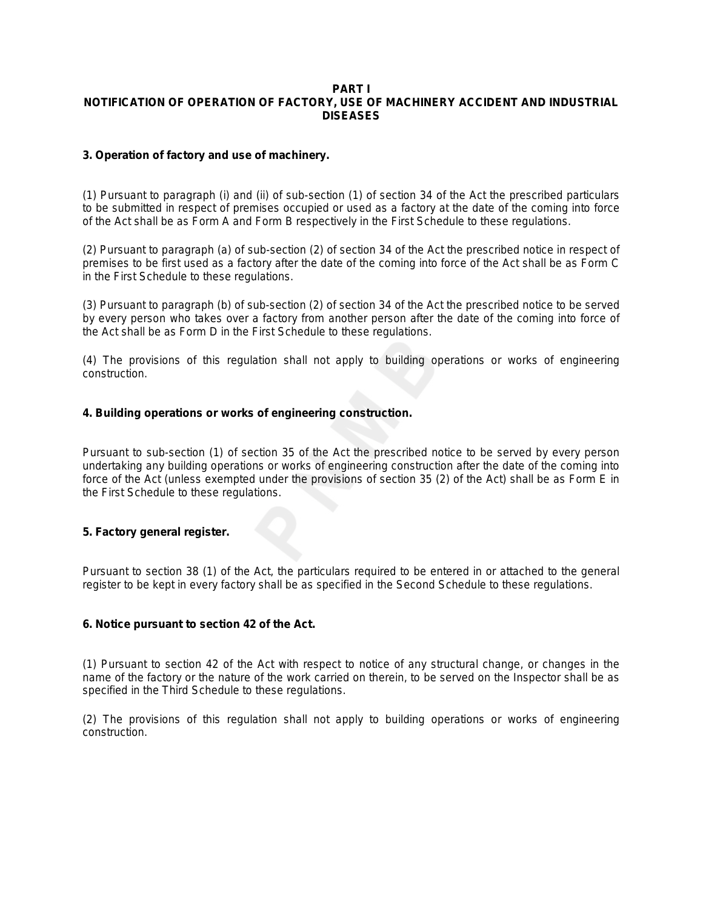#### **PART I NOTIFICATION OF OPERATION OF FACTORY, USE OF MACHINERY ACCIDENT AND INDUSTRIAL DISEASES**

# **3. Operation of factory and use of machinery.**

(1) Pursuant to paragraph (i) and (ii) of sub-section (1) of section 34 of the Act the prescribed particulars to be submitted in respect of premises occupied or used as a factory at the date of the coming into force of the Act shall be as Form A and Form B respectively in the First Schedule to these regulations.

(2) Pursuant to paragraph (*a*) of sub-section (2) of section 34 of the Act the prescribed notice in respect of premises to be first used as a factory after the date of the coming into force of the Act shall be as Form C in the First Schedule to these regulations.

(3) Pursuant to paragraph (*b*) of sub-section (2) of section 34 of the Act the prescribed notice to be served by every person who takes over a factory from another person after the date of the coming into force of the Act shall be as Form D in the First Schedule to these regulations.

(4) The provisions of this regulation shall not apply to building operations or works of engineering construction.

# **4. Building operations or works of engineering construction.**

Pursuant to sub-section (1) of section 35 of the Act the prescribed notice to be served by every person undertaking any building operations or works of engineering construction after the date of the coming into force of the Act (unless exempted under the provisions of section 35 (2) of the Act) shall be as Form E in the First Schedule to these regulations.

# **5. Factory general register.**

Pursuant to section 38 (1) of the Act, the particulars required to be entered in or attached to the general register to be kept in every factory shall be as specified in the Second Schedule to these regulations.

# **6. Notice pursuant to section 42 of the Act.**

(1) Pursuant to section 42 of the Act with respect to notice of any structural change, or changes in the name of the factory or the nature of the work carried on therein, to be served on the Inspector shall be as specified in the Third Schedule to these regulations.

(2) The provisions of this regulation shall not apply to building operations or works of engineering construction.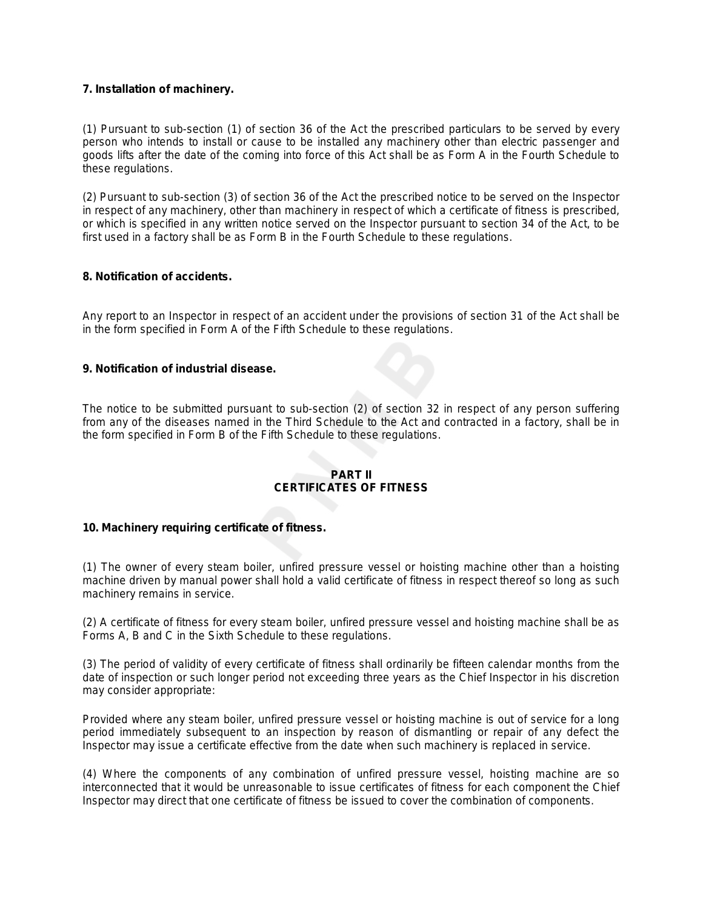# **7. Installation of machinery.**

(1) Pursuant to sub-section (1) of section 36 of the Act the prescribed particulars to be served by every person who intends to install or cause to be installed any machinery other than electric passenger and goods lifts after the date of the coming into force of this Act shall be as Form A in the Fourth Schedule to these regulations.

(2) Pursuant to sub-section (3) of section 36 of the Act the prescribed notice to be served on the Inspector in respect of any machinery, other than machinery in respect of which a certificate of fitness is prescribed, or which is specified in any written notice served on the Inspector pursuant to section 34 of the Act, to be first used in a factory shall be as Form B in the Fourth Schedule to these regulations.

# **8. Notification of accidents.**

Any report to an Inspector in respect of an accident under the provisions of section 31 of the Act shall be in the form specified in Form A of the Fifth Schedule to these regulations.

# **9. Notification of industrial disease.**

The notice to be submitted pursuant to sub-section (2) of section 32 in respect of any person suffering from any of the diseases named in the Third Schedule to the Act and contracted in a factory, shall be in the form specified in Form B of the Fifth Schedule to these regulations.

# **PART II CERTIFICATES OF FITNESS**

# **10. Machinery requiring certificate of fitness.**

(1) The owner of every steam boiler, unfired pressure vessel or hoisting machine other than a hoisting machine driven by manual power shall hold a valid certificate of fitness in respect thereof so long as such machinery remains in service.

(2) A certificate of fitness for every steam boiler, unfired pressure vessel and hoisting machine shall be as Forms A, B and C in the Sixth Schedule to these regulations.

(3) The period of validity of every certificate of fitness shall ordinarily be fifteen calendar months from the date of inspection or such longer period not exceeding three years as the Chief Inspector in his discretion may consider appropriate:

Provided where any steam boiler, unfired pressure vessel or hoisting machine is out of service for a long period immediately subsequent to an inspection by reason of dismantling or repair of any defect the Inspector may issue a certificate effective from the date when such machinery is replaced in service.

(4) Where the components of any combination of unfired pressure vessel, hoisting machine are so interconnected that it would be unreasonable to issue certificates of fitness for each component the Chief Inspector may direct that one certificate of fitness be issued to cover the combination of components.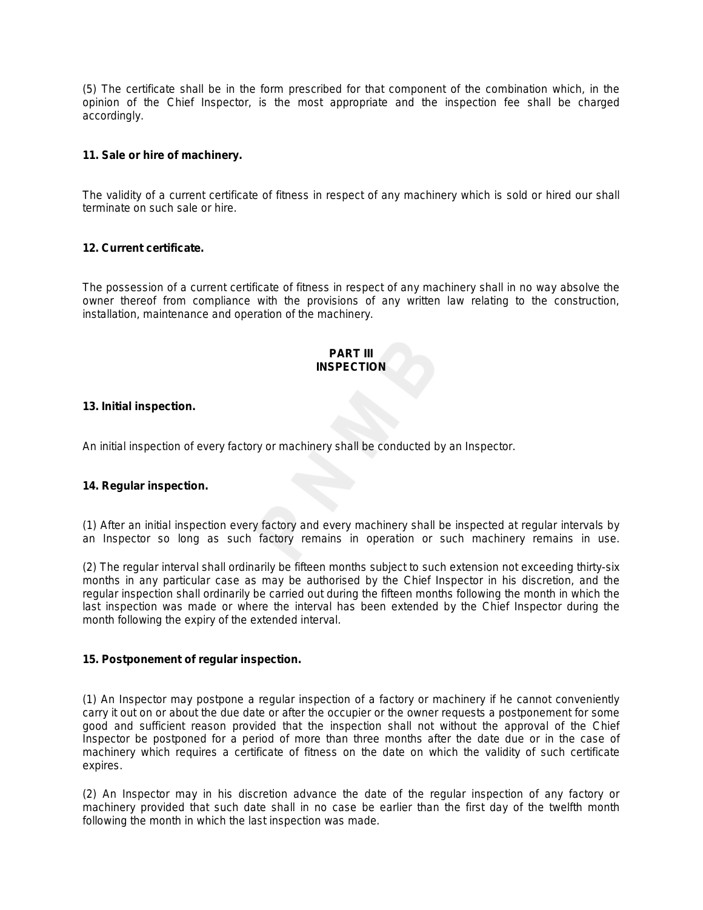(5) The certificate shall be in the form prescribed for that component of the combination which, in the opinion of the Chief Inspector, is the most appropriate and the inspection fee shall be charged accordingly.

# **11. Sale or hire of machinery.**

The validity of a current certificate of fitness in respect of any machinery which is sold or hired our shall terminate on such sale or hire.

# **12. Current certificate.**

The possession of a current certificate of fitness in respect of any machinery shall in no way absolve the owner thereof from compliance with the provisions of any written law relating to the construction, installation, maintenance and operation of the machinery.

# **PART III INSPECTION**

#### **13. Initial inspection.**

An initial inspection of every factory or machinery shall be conducted by an Inspector.

# **14. Regular inspection.**

(1) After an initial inspection every factory and every machinery shall be inspected at regular intervals by an Inspector so long as such factory remains in operation or such machinery remains in use.

(2) The regular interval shall ordinarily be fifteen months subject to such extension not exceeding thirty-six months in any particular case as may be authorised by the Chief Inspector in his discretion, and the regular inspection shall ordinarily be carried out during the fifteen months following the month in which the last inspection was made or where the interval has been extended by the Chief Inspector during the month following the expiry of the extended interval.

#### **15. Postponement of regular inspection.**

(1) An Inspector may postpone a regular inspection of a factory or machinery if he cannot conveniently carry it out on or about the due date or after the occupier or the owner requests a postponement for some good and sufficient reason provided that the inspection shall not without the approval of the Chief Inspector be postponed for a period of more than three months after the date due or in the case of machinery which requires a certificate of fitness on the date on which the validity of such certificate expires.

(2) An Inspector may in his discretion advance the date of the regular inspection of any factory or machinery provided that such date shall in no case be earlier than the first day of the twelfth month following the month in which the last inspection was made.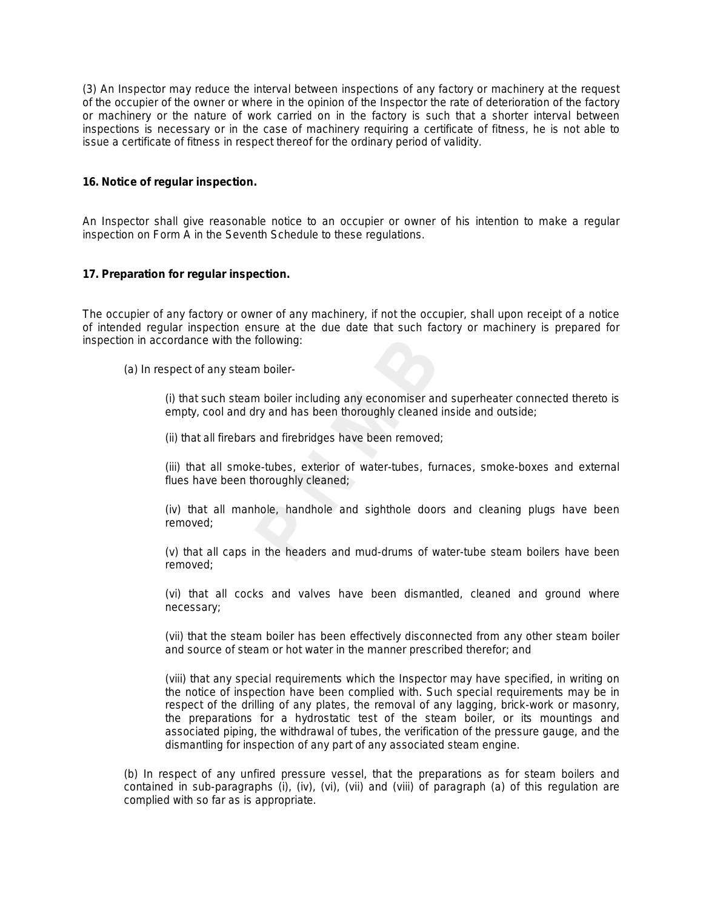(3) An Inspector may reduce the interval between inspections of any factory or machinery at the request of the occupier of the owner or where in the opinion of the Inspector the rate of deterioration of the factory or machinery or the nature of work carried on in the factory is such that a shorter interval between inspections is necessary or in the case of machinery requiring a certificate of fitness, he is not able to issue a certificate of fitness in respect thereof for the ordinary period of validity.

# **16. Notice of regular inspection.**

An Inspector shall give reasonable notice to an occupier or owner of his intention to make a regular inspection on Form A in the Seventh Schedule to these regulations.

#### **17. Preparation for regular inspection.**

The occupier of any factory or owner of any machinery, if not the occupier, shall upon receipt of a notice of intended regular inspection ensure at the due date that such factory or machinery is prepared for inspection in accordance with the following:

(a) In respect of any steam boiler-

(i) that such steam boiler including any economiser and superheater connected thereto is empty, cool and dry and has been thoroughly cleaned inside and outside;

(ii) that all firebars and firebridges have been removed;

(iii) that all smoke-tubes, exterior of water-tubes, furnaces, smoke-boxes and external flues have been thoroughly cleaned;

(iv) that all manhole, handhole and sighthole doors and cleaning plugs have been removed;

(v) that all caps in the headers and mud-drums of water-tube steam boilers have been removed;

(vi) that all cocks and valves have been dismantled, cleaned and ground where necessary;

(vii) that the steam boiler has been effectively disconnected from any other steam boiler and source of steam or hot water in the manner prescribed therefor; and

(viii) that any special requirements which the Inspector may have specified, in writing on the notice of inspection have been complied with. Such special requirements may be in respect of the drilling of any plates, the removal of any lagging, brick-work or masonry, the preparations for a hydrostatic test of the steam boiler, or its mountings and associated piping, the withdrawal of tubes, the verification of the pressure gauge, and the dismantling for inspection of any part of any associated steam engine.

(b) In respect of any unfired pressure vessel, that the preparations as for steam boilers and contained in sub-paragraphs (i), (iv), (vi), (vii) and (viii) of paragraph (*a*) of this regulation are complied with so far as is appropriate.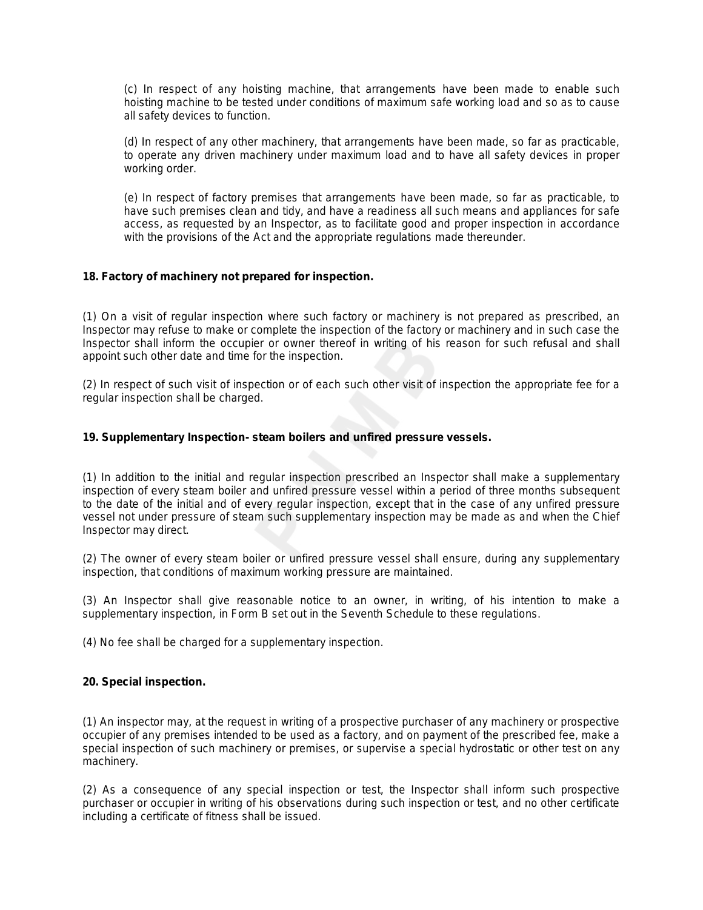(c) In respect of any hoisting machine, that arrangements have been made to enable such hoisting machine to be tested under conditions of maximum safe working load and so as to cause all safety devices to function.

(d) In respect of any other machinery, that arrangements have been made, so far as practicable, to operate any driven machinery under maximum load and to have all safety devices in proper working order.

(e) In respect of factory premises that arrangements have been made, so far as practicable, to have such premises clean and tidy, and have a readiness all such means and appliances for safe access, as requested by an Inspector, as to facilitate good and proper inspection in accordance with the provisions of the Act and the appropriate regulations made thereunder.

# **18. Factory of machinery not prepared for inspection.**

(1) On a visit of regular inspection where such factory or machinery is not prepared as prescribed, an Inspector may refuse to make or complete the inspection of the factory or machinery and in such case the Inspector shall inform the occupier or owner thereof in writing of his reason for such refusal and shall appoint such other date and time for the inspection.

(2) In respect of such visit of inspection or of each such other visit of inspection the appropriate fee for a regular inspection shall be charged.

# **19. Supplementary Inspection- steam boilers and unfired pressure vessels.**

(1) In addition to the initial and regular inspection prescribed an Inspector shall make a supplementary inspection of every steam boiler and unfired pressure vessel within a period of three months subsequent to the date of the initial and of every regular inspection, except that in the case of any unfired pressure vessel not under pressure of steam such supplementary inspection may be made as and when the Chief Inspector may direct.

(2) The owner of every steam boiler or unfired pressure vessel shall ensure, during any supplementary inspection, that conditions of maximum working pressure are maintained.

(3) An Inspector shall give reasonable notice to an owner, in writing, of his intention to make a supplementary inspection, in Form B set out in the Seventh Schedule to these regulations.

(4) No fee shall be charged for a supplementary inspection.

# **20. Special inspection.**

(1) An inspector may, at the request in writing of a prospective purchaser of any machinery or prospective occupier of any premises intended to be used as a factory, and on payment of the prescribed fee, make a special inspection of such machinery or premises, or supervise a special hydrostatic or other test on any machinery.

(2) As a consequence of any special inspection or test, the Inspector shall inform such prospective purchaser or occupier in writing of his observations during such inspection or test, and no other certificate including a certificate of fitness shall be issued.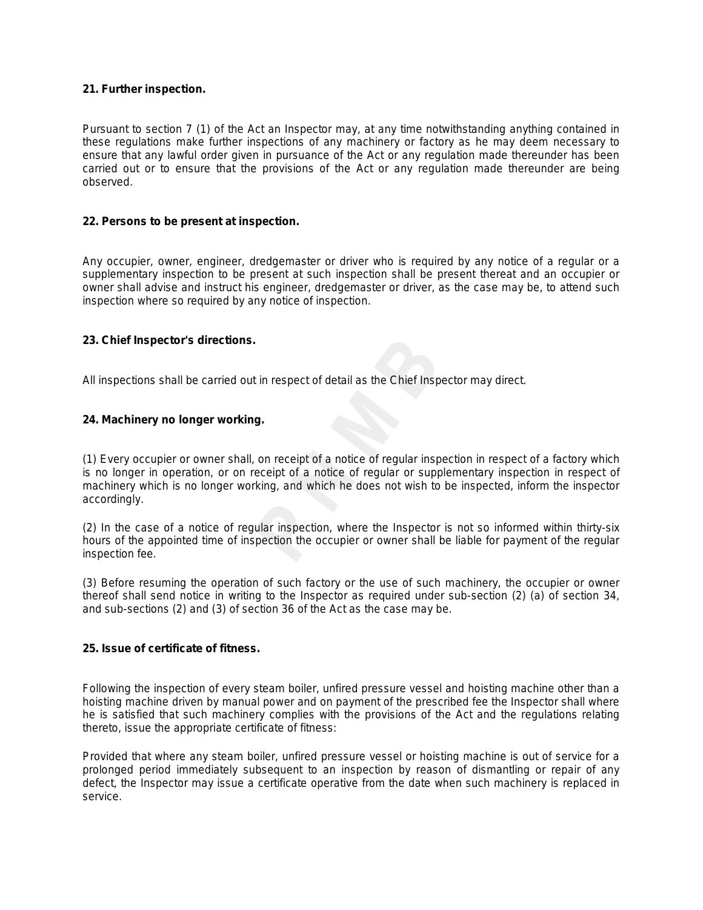# **21. Further inspection.**

Pursuant to section 7 (1) of the Act an Inspector may, at any time notwithstanding anything contained in these regulations make further inspections of any machinery or factory as he may deem necessary to ensure that any lawful order given in pursuance of the Act or any regulation made thereunder has been carried out or to ensure that the provisions of the Act or any regulation made thereunder are being observed.

# **22. Persons to be present at inspection.**

Any occupier, owner, engineer, dredgemaster or driver who is required by any notice of a regular or a supplementary inspection to be present at such inspection shall be present thereat and an occupier or owner shall advise and instruct his engineer, dredgemaster or driver, as the case may be, to attend such inspection where so required by any notice of inspection.

# **23. Chief Inspector's directions.**

All inspections shall be carried out in respect of detail as the Chief Inspector may direct.

# **24. Machinery no longer working.**

(1) Every occupier or owner shall, on receipt of a notice of regular inspection in respect of a factory which is no longer in operation, or on receipt of a notice of regular or supplementary inspection in respect of machinery which is no longer working, and which he does not wish to be inspected, inform the inspector accordingly.

(2) In the case of a notice of regular inspection, where the Inspector is not so informed within thirty-six hours of the appointed time of inspection the occupier or owner shall be liable for payment of the regular inspection fee.

(3) Before resuming the operation of such factory or the use of such machinery, the occupier or owner thereof shall send notice in writing to the Inspector as required under sub-section (2) (*a*) of section 34, and sub-sections (2) and (3) of section 36 of the Act as the case may be.

# **25. Issue of certificate of fitness.**

Following the inspection of every steam boiler, unfired pressure vessel and hoisting machine other than a hoisting machine driven by manual power and on payment of the prescribed fee the Inspector shall where he is satisfied that such machinery complies with the provisions of the Act and the regulations relating thereto, issue the appropriate certificate of fitness:

Provided that where any steam boiler, unfired pressure vessel or hoisting machine is out of service for a prolonged period immediately subsequent to an inspection by reason of dismantling or repair of any defect, the Inspector may issue a certificate operative from the date when such machinery is replaced in service.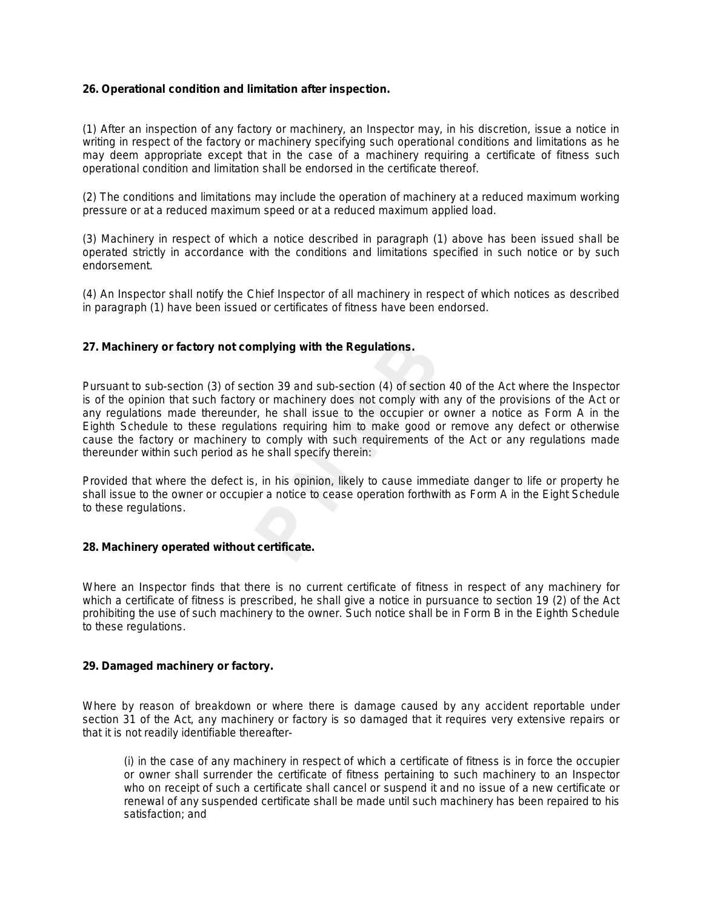# **26. Operational condition and limitation after inspection.**

(1) After an inspection of any factory or machinery, an Inspector may, in his discretion, issue a notice in writing in respect of the factory or machinery specifying such operational conditions and limitations as he may deem appropriate except that in the case of a machinery requiring a certificate of fitness such operational condition and limitation shall be endorsed in the certificate thereof.

(2) The conditions and limitations may include the operation of machinery at a reduced maximum working pressure or at a reduced maximum speed or at a reduced maximum applied load.

(3) Machinery in respect of which a notice described in paragraph (1) above has been issued shall be operated strictly in accordance with the conditions and limitations specified in such notice or by such endorsement.

(4) An Inspector shall notify the Chief Inspector of all machinery in respect of which notices as described in paragraph (1) have been issued or certificates of fitness have been endorsed.

# **27. Machinery or factory not complying with the Regulations.**

Pursuant to sub-section (3) of section 39 and sub-section (4) of section 40 of the Act where the Inspector is of the opinion that such factory or machinery does not comply with any of the provisions of the Act or any regulations made thereunder, he shall issue to the occupier or owner a notice as Form A in the Eighth Schedule to these regulations requiring him to make good or remove any defect or otherwise cause the factory or machinery to comply with such requirements of the Act or any regulations made thereunder within such period as he shall specify therein:

Provided that where the defect is, in his opinion, likely to cause immediate danger to life or property he shall issue to the owner or occupier a notice to cease operation forthwith as Form A in the Eight Schedule to these regulations.

# **28. Machinery operated without certificate.**

Where an Inspector finds that there is no current certificate of fitness in respect of any machinery for which a certificate of fitness is prescribed, he shall give a notice in pursuance to section 19 (2) of the Act prohibiting the use of such machinery to the owner. Such notice shall be in Form B in the Eighth Schedule to these regulations.

# **29. Damaged machinery or factory.**

Where by reason of breakdown or where there is damage caused by any accident reportable under section 31 of the Act, any machinery or factory is so damaged that it requires very extensive repairs or that it is not readily identifiable thereafter-

(i) in the case of any machinery in respect of which a certificate of fitness is in force the occupier or owner shall surrender the certificate of fitness pertaining to such machinery to an Inspector who on receipt of such a certificate shall cancel or suspend it and no issue of a new certificate or renewal of any suspended certificate shall be made until such machinery has been repaired to his satisfaction; and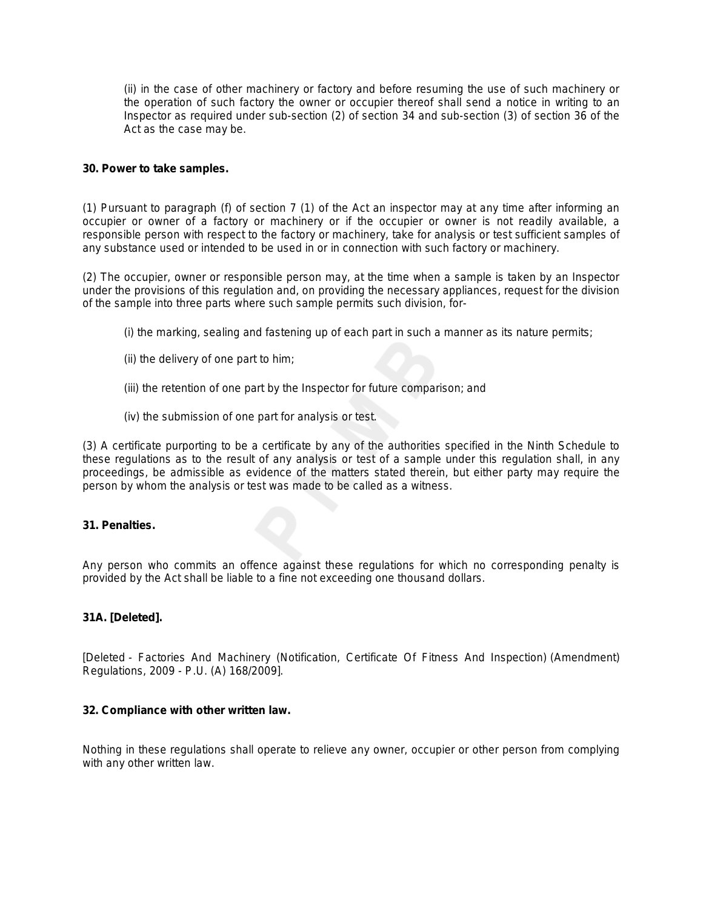(ii) in the case of other machinery or factory and before resuming the use of such machinery or the operation of such factory the owner or occupier thereof shall send a notice in writing to an Inspector as required under sub-section (2) of section 34 and sub-section (3) of section 36 of the Act as the case may be.

# **30. Power to take samples.**

(1) Pursuant to paragraph (*f*) of section 7 (1) of the Act an inspector may at any time after informing an occupier or owner of a factory or machinery or if the occupier or owner is not readily available, a responsible person with respect to the factory or machinery, take for analysis or test sufficient samples of any substance used or intended to be used in or in connection with such factory or machinery.

(2) The occupier, owner or responsible person may, at the time when a sample is taken by an Inspector under the provisions of this regulation and, on providing the necessary appliances, request for the division of the sample into three parts where such sample permits such division, for-

- (i) the marking, sealing and fastening up of each part in such a manner as its nature permits;
- (ii) the delivery of one part to him;
- (iii) the retention of one part by the Inspector for future comparison; and
- (iv) the submission of one part for analysis or test.

(3) A certificate purporting to be a certificate by any of the authorities specified in the Ninth Schedule to these regulations as to the result of any analysis or test of a sample under this regulation shall, in any proceedings, be admissible as evidence of the matters stated therein, but either party may require the person by whom the analysis or test was made to be called as a witness.

# **31. Penalties.**

Any person who commits an offence against these regulations for which no corresponding penalty is provided by the Act shall be liable to a fine not exceeding one thousand dollars.

# **31A. [Deleted].**

[Deleted - Factories And Machinery (Notification, Certificate Of Fitness And Inspection) (Amendment) Regulations, 2009 - P.U. (A) 168/2009].

# **32. Compliance with other written law.**

Nothing in these regulations shall operate to relieve any owner, occupier or other person from complying with any other written law.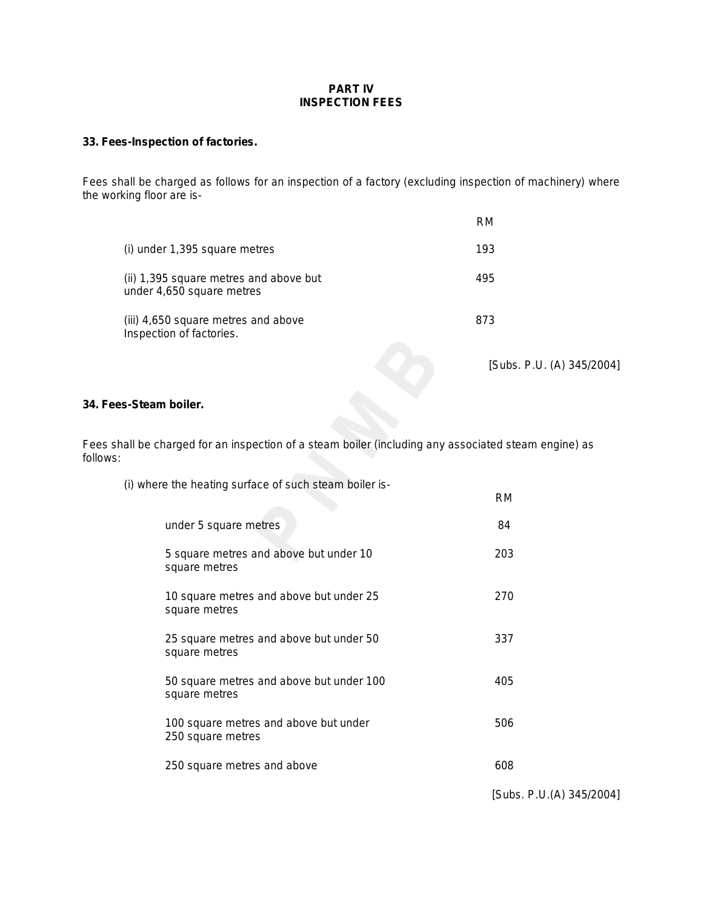# **PART IV INSPECTION FEES**

# **33. Fees-Inspection of factories.**

Fees shall be charged as follows for an inspection of a factory (excluding inspection of machinery) where the working floor are is-

|                                                                     | RM  |
|---------------------------------------------------------------------|-----|
| (i) under 1,395 square metres                                       | 193 |
| (ii) 1,395 square metres and above but<br>under 4,650 square metres | 495 |
| (iii) 4,650 square metres and above<br>Inspection of factories.     | 873 |

*[Subs. P.U. (A) 345/2004]*

# **34. Fees-Steam boiler.**

Fees shall be charged for an inspection of a steam boiler (including any associated steam engine) as follows:

(i) where the heating surface of such steam boiler is-

|                                                            | <b>RM</b> |  |
|------------------------------------------------------------|-----------|--|
| under 5 square metres                                      | 84        |  |
| 5 square metres and above but under 10<br>square metres    | 203       |  |
| 10 square metres and above but under 25<br>square metres   | 270       |  |
| 25 square metres and above but under 50<br>square metres   | 337       |  |
| 50 square metres and above but under 100<br>square metres  | 405       |  |
| 100 square metres and above but under<br>250 square metres | 506       |  |
| 250 square metres and above                                | 608       |  |
|                                                            |           |  |

*[Subs. P.U.(A) 345/2004]*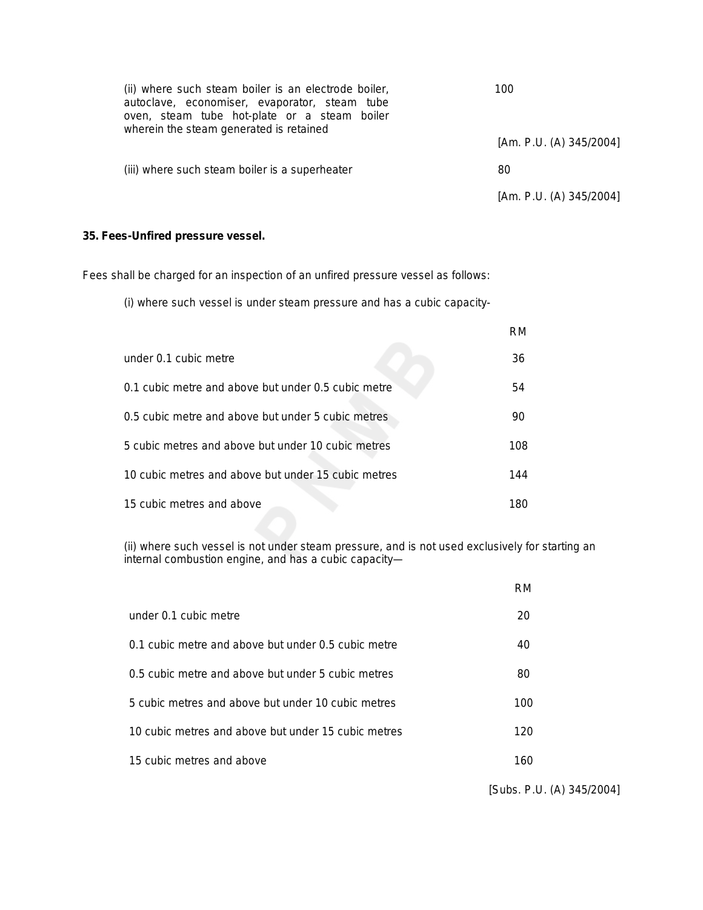| (ii) where such steam boiler is an electrode boiler,<br>autoclave, economiser, evaporator, steam tube<br>oven, steam tube hot-plate or a steam boiler<br>wherein the steam generated is retained | 100                     |
|--------------------------------------------------------------------------------------------------------------------------------------------------------------------------------------------------|-------------------------|
|                                                                                                                                                                                                  | [Am. P.U. (A) 345/2004] |
| (iii) where such steam boiler is a superheater                                                                                                                                                   | 80                      |
|                                                                                                                                                                                                  | [Am. P.U. (A) 345/2004] |

# **35. Fees-Unfired pressure vessel.**

Fees shall be charged for an inspection of an unfired pressure vessel as follows:

(i) where such vessel is under steam pressure and has a cubic capacity-

|                                                     | RM  |
|-----------------------------------------------------|-----|
| under 0.1 cubic metre                               | 36  |
| 0.1 cubic metre and above but under 0.5 cubic metre | 54  |
| 0.5 cubic metre and above but under 5 cubic metres  | 90  |
| 5 cubic metres and above but under 10 cubic metres  | 108 |
| 10 cubic metres and above but under 15 cubic metres | 144 |
| 15 cubic metres and above                           | 180 |

(ii) where such vessel is not under steam pressure, and is not used exclusively for starting an internal combustion engine, and has a cubic capacity—

|                                                     | RM  |
|-----------------------------------------------------|-----|
| under 0.1 cubic metre                               | 20  |
| 0.1 cubic metre and above but under 0.5 cubic metre | 40  |
| 0.5 cubic metre and above but under 5 cubic metres  | 80  |
| 5 cubic metres and above but under 10 cubic metres  | 100 |
| 10 cubic metres and above but under 15 cubic metres | 120 |
| 15 cubic metres and above                           | 160 |

*[Subs. P.U. (A) 345/2004]*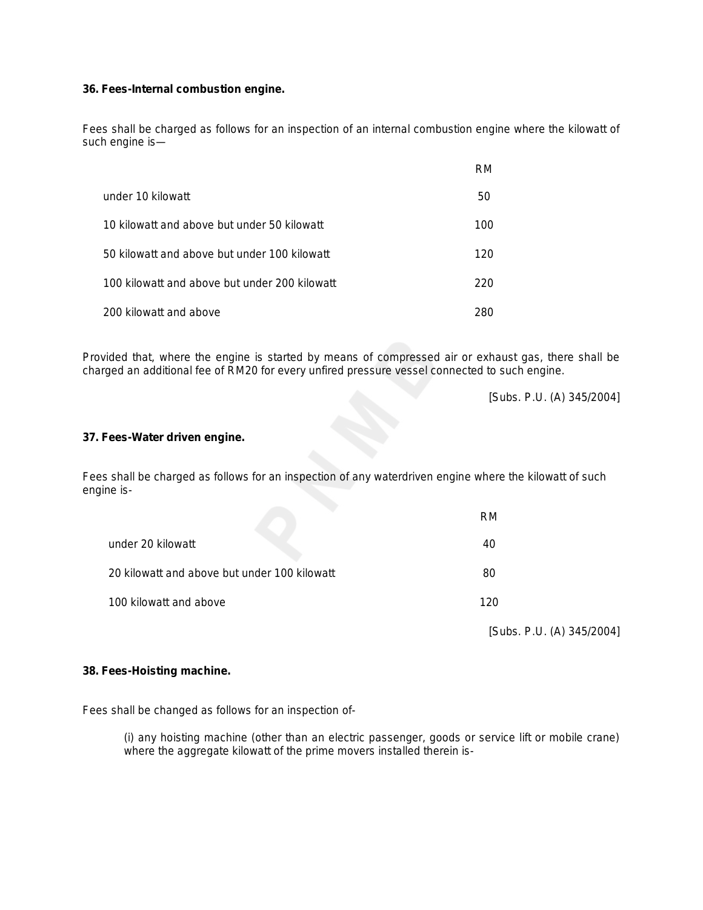# **36. Fees-Internal combustion engine.**

Fees shall be charged as follows for an inspection of an internal combustion engine where the kilowatt of such engine is—

|                                               | RM. |
|-----------------------------------------------|-----|
| under 10 kilowatt                             | 50  |
| 10 kilowatt and above but under 50 kilowatt   | 100 |
| 50 kilowatt and above but under 100 kilowatt  | 120 |
| 100 kilowatt and above but under 200 kilowatt | 220 |
| 200 kilowatt and above                        | 280 |

Provided that, where the engine is started by means of compressed air or exhaust gas, there shall be charged an additional fee of RM20 for every unfired pressure vessel connected to such engine.

*[Subs. P.U. (A) 345/2004]*

# **37. Fees-Water driven engine.**

Fees shall be charged as follows for an inspection of any waterdriven engine where the kilowatt of such engine is-

|                                              | RM                        |
|----------------------------------------------|---------------------------|
| under 20 kilowatt                            | 40                        |
| 20 kilowatt and above but under 100 kilowatt | 80                        |
| 100 kilowatt and above                       | 120                       |
|                                              | [Subs. P.U. (A) 345/2004] |

# **38. Fees-Hoisting machine.**

Fees shall be changed as follows for an inspection of-

(i) any hoisting machine (other than an electric passenger, goods or service lift or mobile crane) where the aggregate kilowatt of the prime movers installed therein is-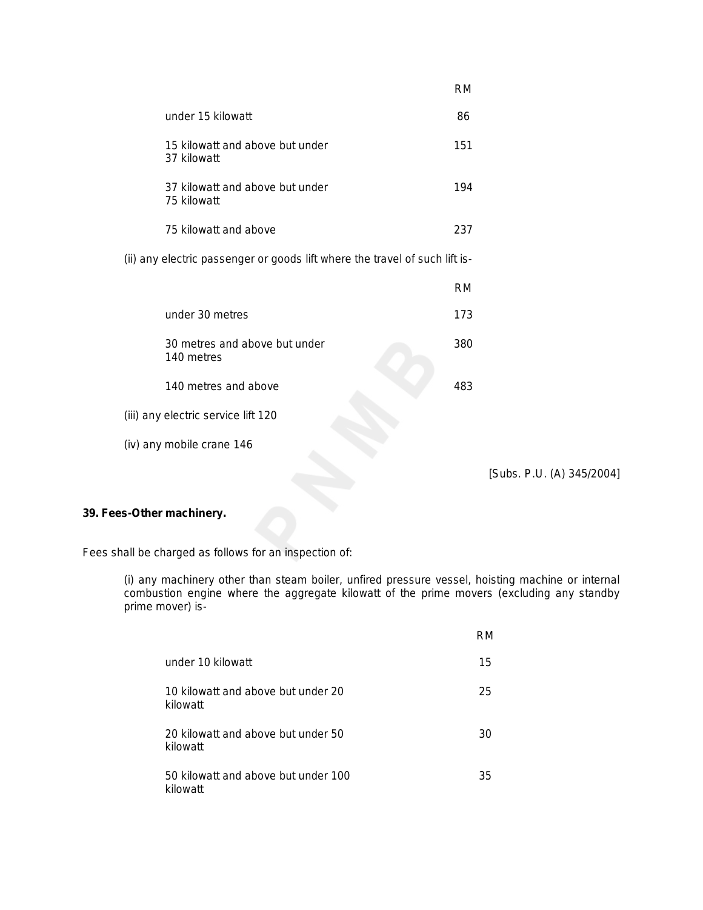|                                                                             | <b>RM</b> |
|-----------------------------------------------------------------------------|-----------|
| under 15 kilowatt                                                           | 86        |
| 15 kilowatt and above but under<br>37 kilowatt                              | 151       |
| 37 kilowatt and above but under<br>75 kilowatt                              | 194       |
| 75 kilowatt and above                                                       | 237       |
| (ii) any electric passenger or goods lift where the travel of such lift is- |           |
|                                                                             | <b>RM</b> |
| under 30 metres                                                             | 173       |
| 30 metres and above but under<br>140 metres                                 | 380       |
| 140 metres and above                                                        | 483       |
| (iii) any electric service lift 120                                         |           |
| (iv) any mobile crane 146                                                   |           |

*[Subs. P.U. (A) 345/2004]*

# **39. Fees-Other machinery.**

Fees shall be charged as follows for an inspection of:

(i) any machinery other than steam boiler, unfired pressure vessel, hoisting machine or internal combustion engine where the aggregate kilowatt of the prime movers (excluding any standby prime mover) is-

|                                                 | RM |
|-------------------------------------------------|----|
| under 10 kilowatt                               | 15 |
| 10 kilowatt and above but under 20<br>kilowatt  | 25 |
| 20 kilowatt and above but under 50<br>kilowatt  | 30 |
| 50 kilowatt and above but under 100<br>kilowatt | 35 |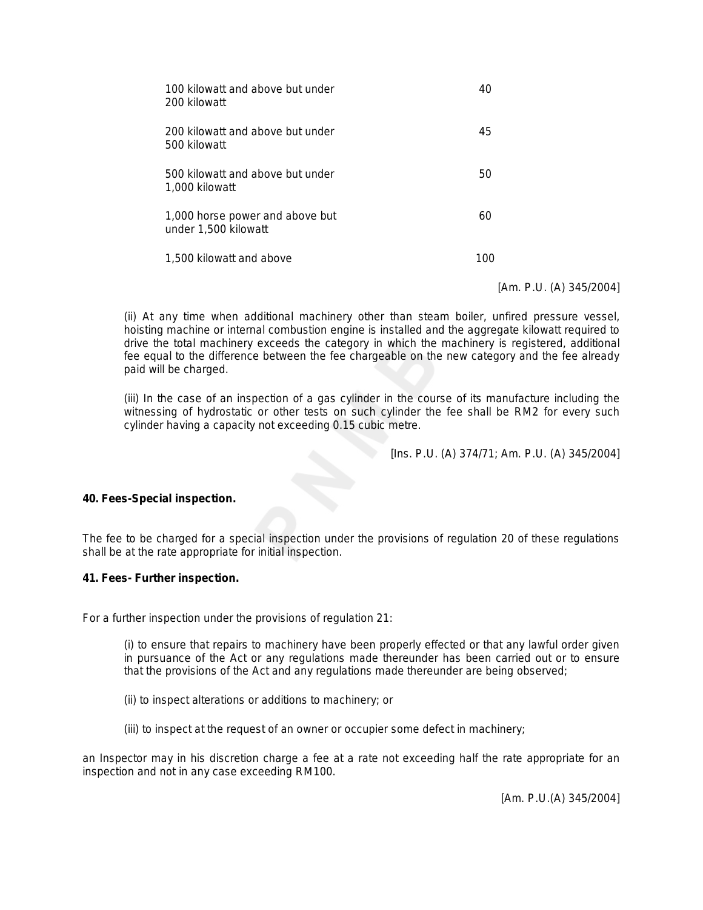| 100 kilowatt and above but under<br>200 kilowatt        |    |
|---------------------------------------------------------|----|
| 200 kilowatt and above but under<br>500 kilowatt        | 45 |
| 500 kilowatt and above but under<br>1,000 kilowatt      | 50 |
| 1,000 horse power and above but<br>under 1,500 kilowatt | 60 |
| 1,500 kilowatt and above                                |    |

*[Am. P.U. (A) 345/2004]*

(ii) At any time when additional machinery other than steam boiler, unfired pressure vessel, hoisting machine or internal combustion engine is installed and the aggregate kilowatt required to drive the total machinery exceeds the category in which the machinery is registered, additional fee equal to the difference between the fee chargeable on the new category and the fee already paid will be charged.

(iii) In the case of an inspection of a gas cylinder in the course of its manufacture including the witnessing of hydrostatic or other tests on such cylinder the fee shall be RM2 for every such cylinder having a capacity not exceeding 0.15 cubic metre.

*[Ins. P.U. (A) 374/71; Am. P.U. (A) 345/2004]*

# **40. Fees-Special inspection.**

The fee to be charged for a special inspection under the provisions of regulation 20 of these regulations shall be at the rate appropriate for initial inspection.

#### **41. Fees- Further inspection.**

For a further inspection under the provisions of regulation 21:

(i) to ensure that repairs to machinery have been properly effected or that any lawful order given in pursuance of the Act or any regulations made thereunder has been carried out or to ensure that the provisions of the Act and any regulations made thereunder are being observed;

- (ii) to inspect alterations or additions to machinery; or
- (iii) to inspect at the request of an owner or occupier some defect in machinery;

an Inspector may in his discretion charge a fee at a rate not exceeding half the rate appropriate for an inspection and not in any case exceeding RM100.

*[Am. P.U.(A) 345/2004]*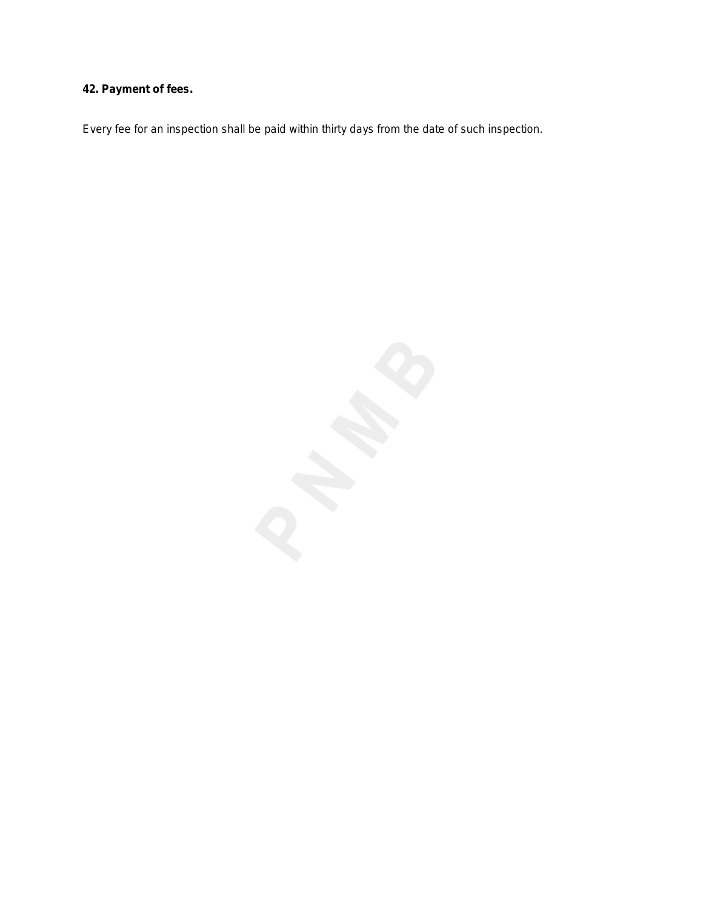# **42. Payment of fees.**

Every fee for an inspection shall be paid within thirty days from the date of such inspection.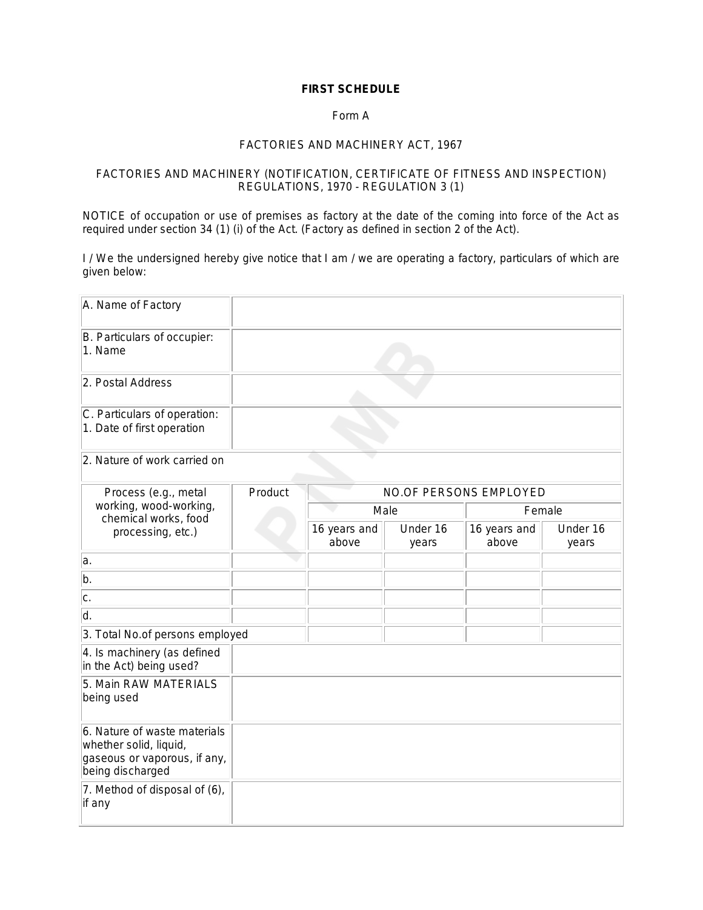# **FIRST SCHEDULE**

# Form A

#### *FACTORIES AND MACHINERY ACT, 1967*

# FACTORIES AND MACHINERY (NOTIFICATION, CERTIFICATE OF FITNESS AND INSPECTION) REGULATIONS, 1970 - REGULATION 3 (1)

NOTICE of occupation or use of premises as factory at the date of the coming into force of the Act as required under section 34 (1) (i) of the Act. (Factory as defined in section 2 of the Act).

I / We the undersigned hereby give notice that I am / we are operating a factory, particulars of which are given below:

| A. Name of Factory                                                                                         |         |                       |                   |                        |                   |
|------------------------------------------------------------------------------------------------------------|---------|-----------------------|-------------------|------------------------|-------------------|
| B. Particulars of occupier:<br>1. Name                                                                     |         |                       |                   |                        |                   |
| 2. Postal Address                                                                                          |         |                       |                   |                        |                   |
| C. Particulars of operation:<br>1. Date of first operation                                                 |         |                       |                   |                        |                   |
| 2. Nature of work carried on                                                                               |         |                       |                   |                        |                   |
| Process (e.g., metal                                                                                       | Product |                       |                   | NO.OF PERSONS EMPLOYED |                   |
| working, wood-working,<br>chemical works, food                                                             |         | Male                  |                   | Female                 |                   |
| processing, etc.)                                                                                          |         | 16 years and<br>above | Under 16<br>years | 16 years and<br>above  | Under 16<br>years |
| a.                                                                                                         |         |                       |                   |                        |                   |
| b.                                                                                                         |         |                       |                   |                        |                   |
| c.                                                                                                         |         |                       |                   |                        |                   |
| ld.                                                                                                        |         |                       |                   |                        |                   |
| 3. Total No.of persons employed                                                                            |         |                       |                   |                        |                   |
| 4. Is machinery (as defined<br>in the Act) being used?                                                     |         |                       |                   |                        |                   |
| 5. Main RAW MATERIALS<br>being used                                                                        |         |                       |                   |                        |                   |
| 6. Nature of waste materials<br>whether solid, liquid,<br>gaseous or vaporous, if any,<br>being discharged |         |                       |                   |                        |                   |
| 7. Method of disposal of (6),<br>if any                                                                    |         |                       |                   |                        |                   |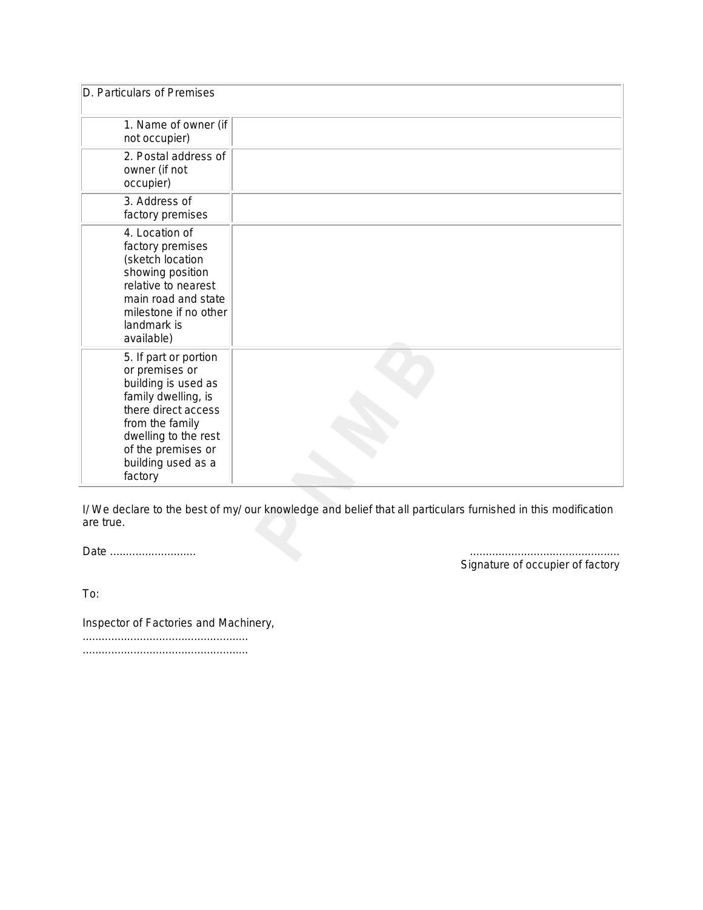| D. Particulars of Premises                                                                                                                                                                                     |  |
|----------------------------------------------------------------------------------------------------------------------------------------------------------------------------------------------------------------|--|
| 1. Name of owner (if<br>not occupier)                                                                                                                                                                          |  |
| 2. Postal address of<br>owner (if not<br>occupier)                                                                                                                                                             |  |
| 3. Address of<br>factory premises                                                                                                                                                                              |  |
| 4. Location of<br>factory premises<br>(sketch location<br>showing position<br>relative to nearest<br>main road and state<br>milestone if no other<br>landmark is<br>available)                                 |  |
| 5. If part or portion<br>or premises or<br>building is used as<br>family dwelling, is<br>there direct access<br>from the family<br>dwelling to the rest<br>of the premises or<br>building used as a<br>factory |  |

I/ We declare to the best of my/ our knowledge and belief that all particulars furnished in this modification are true.

*Date ........................... ...............................................*

*Signature of occupier of factory*

To:

Inspector of Factories and Machinery, .................................................... ....................................................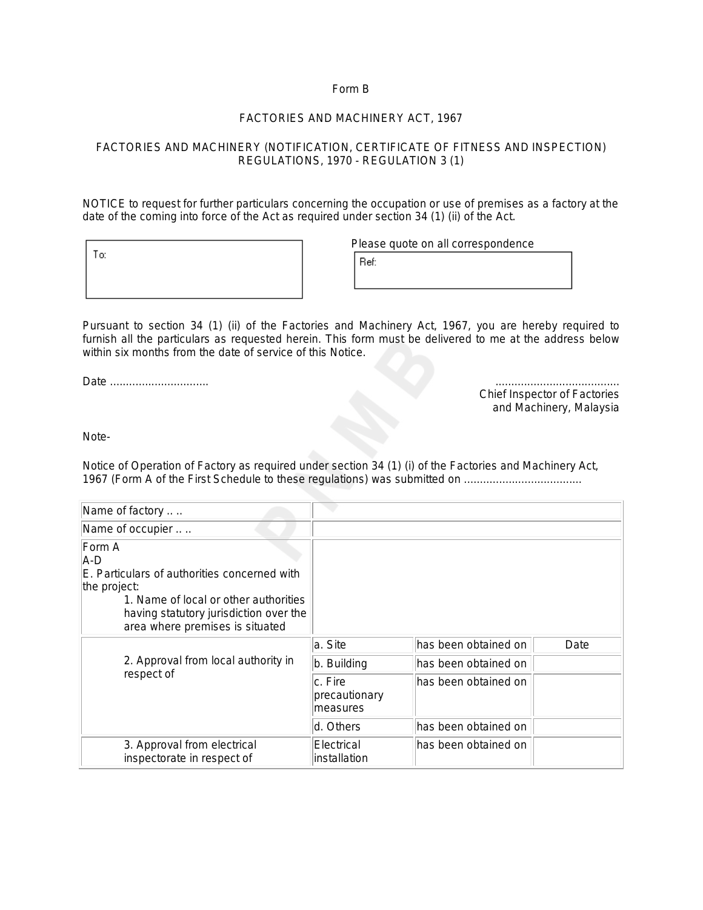# Form B

# *FACTORIES AND MACHINERY ACT, 1967*

# FACTORIES AND MACHINERY (NOTIFICATION, CERTIFICATE OF FITNESS AND INSPECTION) REGULATIONS, 1970 - REGULATION 3 (1)

NOTICE to request for further particulars concerning the occupation or use of premises as a factory at the date of the coming into force of the Act as required under section 34 (1) (ii) of the Act.

Please quote on all correspondence

|  | Liedse danie nij dij collest |
|--|------------------------------|
|  | lef:                         |
|  |                              |

Pursuant to section 34 (1) (ii) of the Factories and Machinery Act, 1967, you are hereby required to furnish all the particulars as requested herein. This form must be delivered to me at the address below within six months from the date of service of this Notice.

*Date ............................... .......................................*

*Chief Inspector of Factories and Machinery, Malaysia*

Note-

To:

Notice of Operation of Factory as required under section 34 (1) (i) of the Factories and Machinery Act, 1967 (Form A of the First Schedule to these regulations) was submitted on .....................................

| Name of factory                                                                                                                                                                                     |                                      |                       |      |
|-----------------------------------------------------------------------------------------------------------------------------------------------------------------------------------------------------|--------------------------------------|-----------------------|------|
| Name of occupier                                                                                                                                                                                    |                                      |                       |      |
| Form A<br>A-D<br>E. Particulars of authorities concerned with<br>the project:<br>1. Name of local or other authorities<br>having statutory jurisdiction over the<br>area where premises is situated |                                      |                       |      |
|                                                                                                                                                                                                     | a. Site                              | has been obtained on  | Date |
| 2. Approval from local authority in                                                                                                                                                                 | b. Building                          | lhas been obtained on |      |
| respect of                                                                                                                                                                                          | c. Fire<br>precautionary<br>measures | lhas been obtained on |      |
|                                                                                                                                                                                                     | d. Others                            | has been obtained on  |      |
| 3. Approval from electrical<br>inspectorate in respect of                                                                                                                                           | Electrical<br>installation           | lhas been obtained on |      |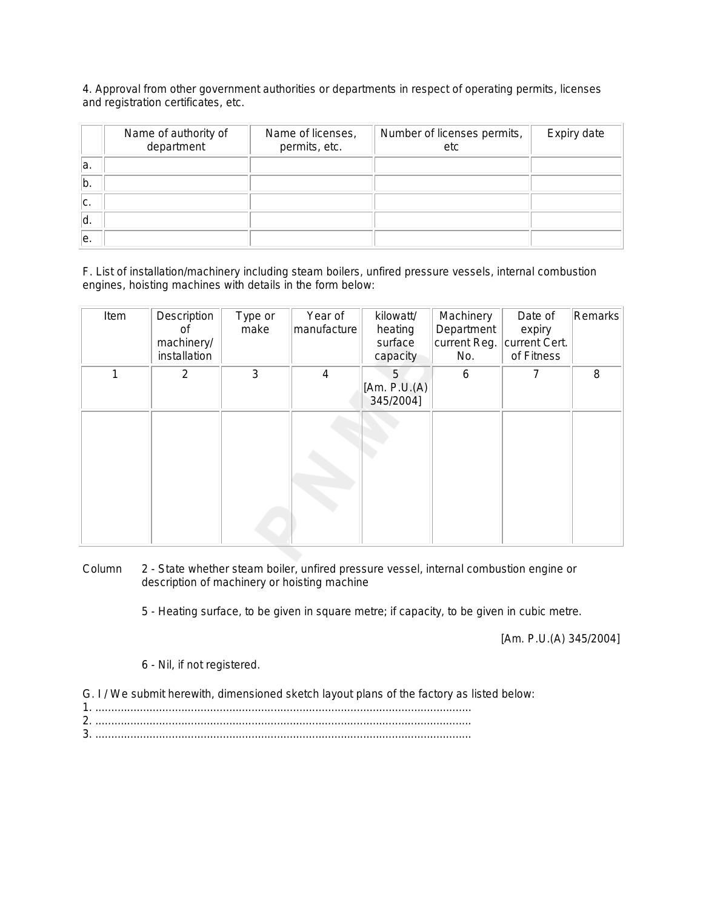4. Approval from other government authorities or departments in respect of operating permits, licenses and registration certificates, etc.

|     | Name of authority of<br>department | Name of licenses,<br>permits, etc. | Number of licenses permits,<br>etc | Expiry date |
|-----|------------------------------------|------------------------------------|------------------------------------|-------------|
| la. |                                    |                                    |                                    |             |
| b.  |                                    |                                    |                                    |             |
| lc. |                                    |                                    |                                    |             |
| ۱d. |                                    |                                    |                                    |             |
| le. |                                    |                                    |                                    |             |

F. List of installation/machinery including steam boilers, unfired pressure vessels, internal combustion engines, hoisting machines with details in the form below:

| Item | Description<br>οf<br>machinery/<br>installation | Type or<br>make | Year of<br>manufacture | kilowatt/<br>heating<br>surface<br>capacity | Machinery<br>Department<br>current Reg.<br>No. | Date of<br>expiry<br>current Cert.<br>of Fitness | Remarks |
|------|-------------------------------------------------|-----------------|------------------------|---------------------------------------------|------------------------------------------------|--------------------------------------------------|---------|
| 1    | 2                                               | 3               | 4                      | 5<br>[Am. P.U.(A)]<br>345/2004]             | 6                                              | $\overline{7}$                                   | 8       |
|      |                                                 |                 |                        |                                             |                                                |                                                  |         |

Column 2 - State whether steam boiler, unfired pressure vessel, internal combustion engine or description of machinery or hoisting machine

5 - Heating surface, to be given in square metre; if capacity, to be given in cubic metre.

*[Am. P.U.(A) 345/2004]*

# 6 - Nil, if not registered.

G. I / We submit herewith, dimensioned sketch layout plans of the factory as listed below:

| ◠ |  |
|---|--|
| ົ |  |
|   |  |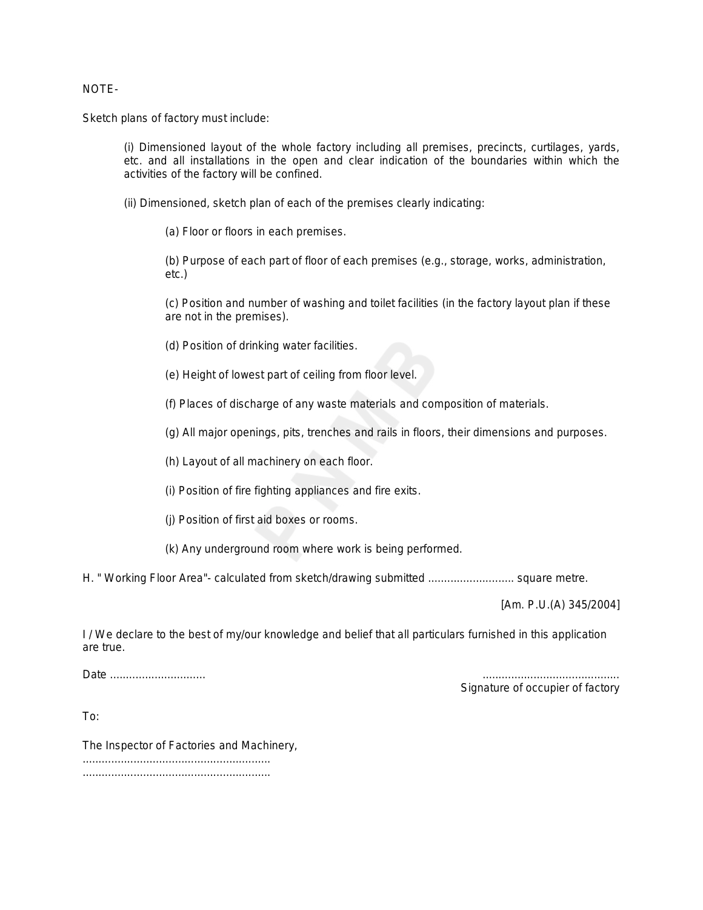# NOTE-

Sketch plans of factory must include:

(i) Dimensioned layout of the whole factory including all premises, precincts, curtilages, yards, etc. and all installations in the open and clear indication of the boundaries within which the activities of the factory will be confined.

(ii) Dimensioned, sketch plan of each of the premises clearly indicating:

(*a*) Floor or floors in each premises.

(*b*) Purpose of each part of floor of each premises (e.g., storage, works, administration, etc.)

(*c*) Position and number of washing and toilet facilities (in the factory layout plan if these are not in the premises).

- (*d*) Position of drinking water facilities.
- (*e*) Height of lowest part of ceiling from floor level.
- (*f*) Places of discharge of any waste materials and composition of materials.

(*g*) All major openings, pits, trenches and rails in floors, their dimensions and purposes.

- (*h*) Layout of all machinery on each floor.
- (*i*) Position of fire fighting appliances and fire exits.
- (*j*) Position of first aid boxes or rooms.
- (*k*) Any underground room where work is being performed.

H. " Working Floor Area"- calculated from sketch/drawing submitted ........................... square metre.

*[Am. P.U.(A) 345/2004]*

I / We declare to the best of my/our knowledge and belief that all particulars furnished in this application are true.

*Date .............................. ...........................................*

*Signature of occupier of factory*

To:

The Inspector of Factories and Machinery, ........................................................... ...........................................................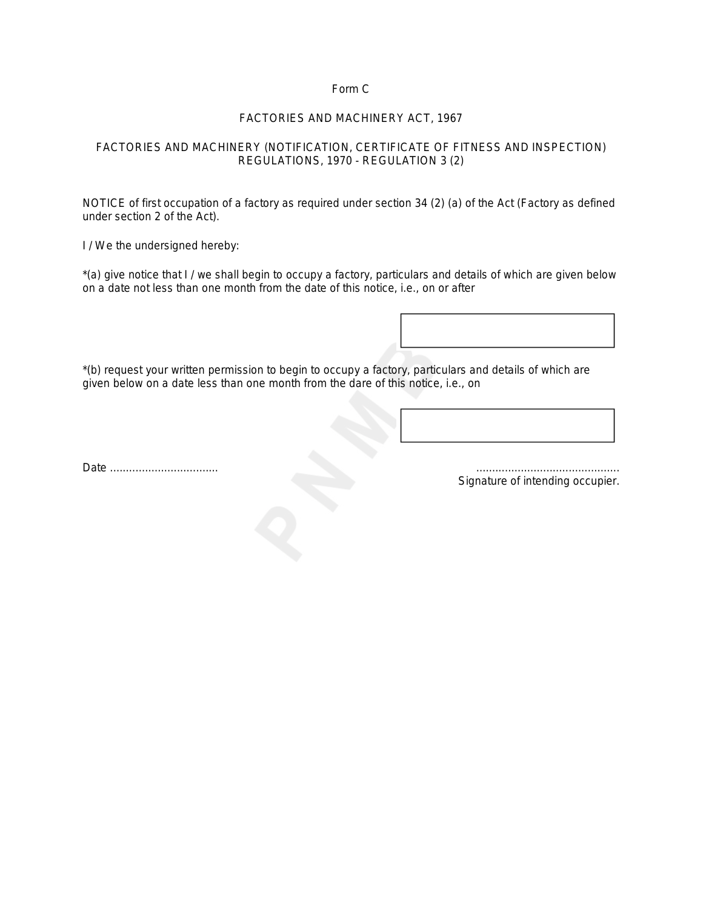# Form C

# *FACTORIES AND MACHINERY ACT, 1967*

# FACTORIES AND MACHINERY (NOTIFICATION, CERTIFICATE OF FITNESS AND INSPECTION) REGULATIONS, 1970 - REGULATION 3 (2)

NOTICE of first occupation of a factory as required under section 34 (2) (*a*) of the Act (Factory as defined under section 2 of the Act).

I / We the undersigned hereby:

\*(a) give notice that I / we shall begin to occupy a factory, particulars and details of which are given below on a date not less than one month from the date of this notice, i.e., on or after

\*(b) request your written permission to begin to occupy a factory, particulars and details of which are given below on a date less than one month from the dare of this notice, i.e., on

*Date* .................................. .............................................

*Signature of intending occupier*.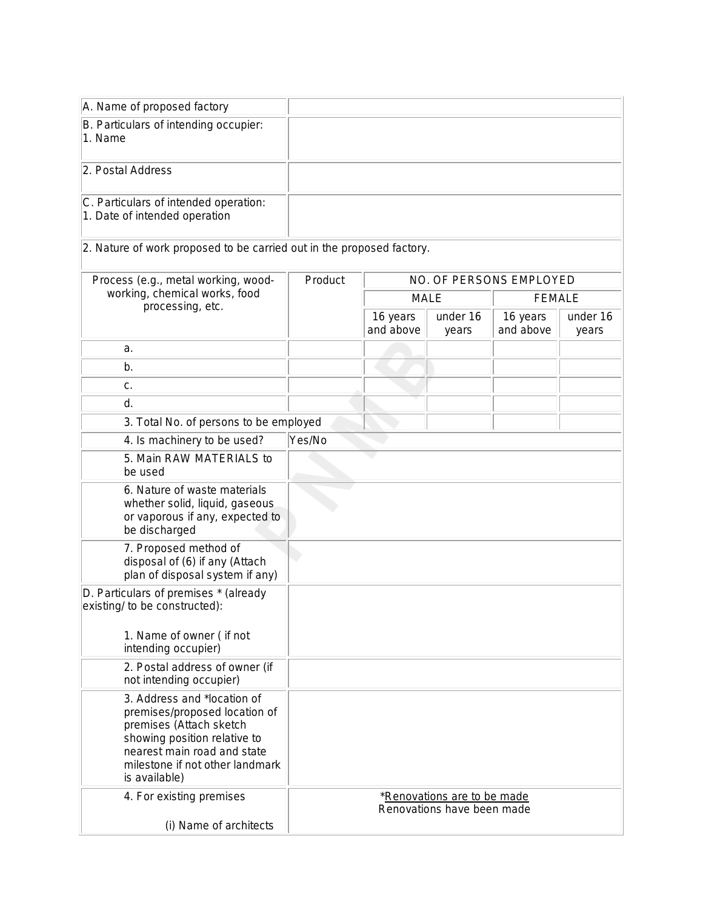| A. Name of proposed factory                                                                                                                                                                                |         |                       |                                                                  |                         |                   |
|------------------------------------------------------------------------------------------------------------------------------------------------------------------------------------------------------------|---------|-----------------------|------------------------------------------------------------------|-------------------------|-------------------|
| B. Particulars of intending occupier:<br>1. Name                                                                                                                                                           |         |                       |                                                                  |                         |                   |
| 2. Postal Address                                                                                                                                                                                          |         |                       |                                                                  |                         |                   |
| C. Particulars of intended operation:<br>1. Date of intended operation                                                                                                                                     |         |                       |                                                                  |                         |                   |
| 2. Nature of work proposed to be carried out in the proposed factory.                                                                                                                                      |         |                       |                                                                  |                         |                   |
| Process (e.g., metal working, wood-                                                                                                                                                                        | Product |                       |                                                                  | NO. OF PERSONS EMPLOYED |                   |
| working, chemical works, food<br>processing, etc.                                                                                                                                                          |         | <b>MALE</b>           |                                                                  | <b>FEMALE</b>           |                   |
|                                                                                                                                                                                                            |         | 16 years<br>and above | under 16<br>years                                                | 16 years<br>and above   | under 16<br>years |
| a.                                                                                                                                                                                                         |         |                       |                                                                  |                         |                   |
| b.                                                                                                                                                                                                         |         |                       |                                                                  |                         |                   |
| c.                                                                                                                                                                                                         |         |                       |                                                                  |                         |                   |
| d.                                                                                                                                                                                                         |         |                       |                                                                  |                         |                   |
| 3. Total No. of persons to be employed                                                                                                                                                                     |         |                       |                                                                  |                         |                   |
| 4. Is machinery to be used?                                                                                                                                                                                | Yes/No  |                       |                                                                  |                         |                   |
| 5. Main RAW MATERIALS to<br>be used                                                                                                                                                                        |         |                       |                                                                  |                         |                   |
| 6. Nature of waste materials<br>whether solid, liquid, gaseous<br>or vaporous if any, expected to<br>be discharged                                                                                         |         |                       |                                                                  |                         |                   |
| 7. Proposed method of<br>disposal of (6) if any (Attach<br>plan of disposal system if any)                                                                                                                 |         |                       |                                                                  |                         |                   |
| D. Particulars of premises * (already<br>existing/ to be constructed):                                                                                                                                     |         |                       |                                                                  |                         |                   |
| 1. Name of owner (if not<br>intending occupier)                                                                                                                                                            |         |                       |                                                                  |                         |                   |
| 2. Postal address of owner (if<br>not intending occupier)                                                                                                                                                  |         |                       |                                                                  |                         |                   |
| 3. Address and *location of<br>premises/proposed location of<br>premises (Attach sketch<br>showing position relative to<br>nearest main road and state<br>milestone if not other landmark<br>is available) |         |                       |                                                                  |                         |                   |
| 4. For existing premises<br>(i) Name of architects                                                                                                                                                         |         |                       | <i>*Renovations are to be made</i><br>Renovations have been made |                         |                   |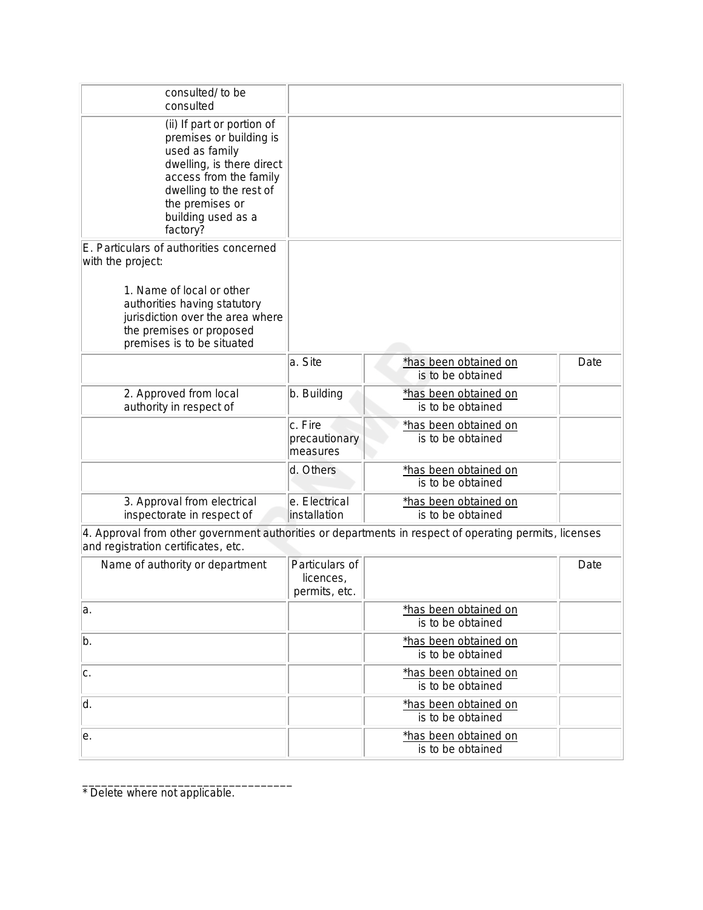| consulted/ to be<br>consulted                                                                                                                                                                                           |                                      |                                            |      |
|-------------------------------------------------------------------------------------------------------------------------------------------------------------------------------------------------------------------------|--------------------------------------|--------------------------------------------|------|
| (ii) If part or portion of<br>premises or building is<br>used as family<br>dwelling, is there direct<br>access from the family<br>dwelling to the rest of<br>the premises or<br>building used as a<br>factory?          |                                      |                                            |      |
| E. Particulars of authorities concerned<br>with the project:<br>1. Name of local or other<br>authorities having statutory<br>jurisdiction over the area where<br>the premises or proposed<br>premises is to be situated |                                      |                                            |      |
|                                                                                                                                                                                                                         | a. Site                              | *has been obtained on<br>is to be obtained | Date |
| 2. Approved from local<br>authority in respect of                                                                                                                                                                       | b. Building                          | *has been obtained on<br>is to be obtained |      |
|                                                                                                                                                                                                                         | c. Fire<br>precautionary<br>measures | *has been obtained on<br>is to be obtained |      |
|                                                                                                                                                                                                                         | d. Others                            | *has been obtained on<br>is to be obtained |      |
| 3. Approval from electrical<br>inspectorate in respect of                                                                                                                                                               | e. Electrical<br>linstallation       | *has been obtained on<br>is to be obtained |      |

4. Approval from other government authorities or departments in respect of operating permits, licenses and registration certificates, etc.

| Name of authority or department | Particulars of<br>licences,<br>permits, etc. |                                            | Date |
|---------------------------------|----------------------------------------------|--------------------------------------------|------|
| la.                             |                                              | *has been obtained on<br>is to be obtained |      |
| b.                              |                                              | *has been obtained on<br>is to be obtained |      |
| c.                              |                                              | *has been obtained on<br>is to be obtained |      |
| ۱d.                             |                                              | *has been obtained on<br>is to be obtained |      |
| e.                              |                                              | *has been obtained on<br>is to be obtained |      |

\* Delete where not applicable.

\_\_\_\_\_\_\_\_\_\_\_\_\_\_\_\_\_\_\_\_\_\_\_\_\_\_\_\_\_\_\_\_\_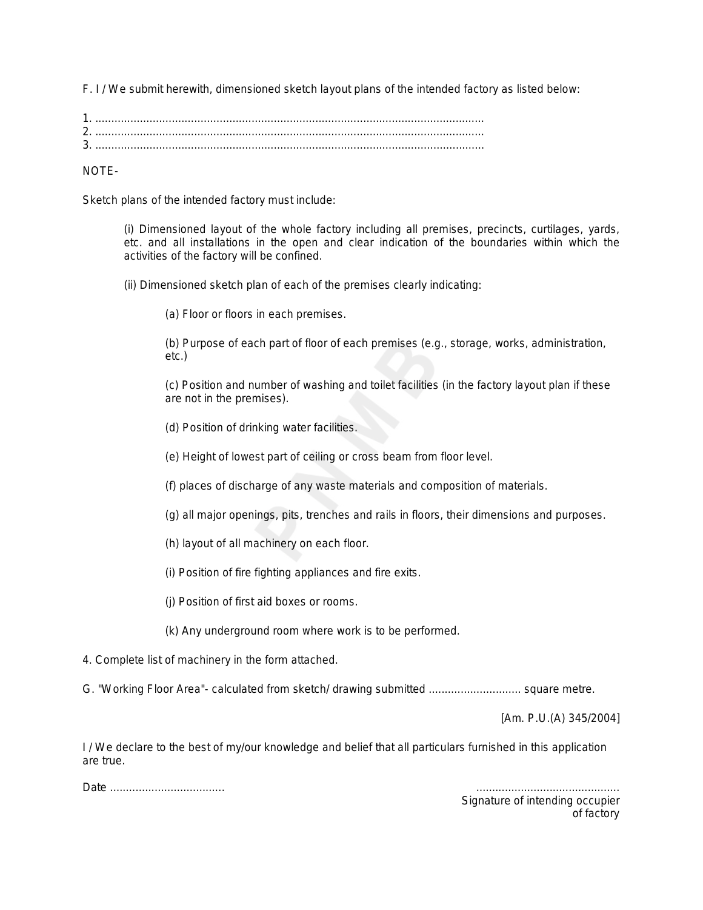F. I / We submit herewith, dimensioned sketch layout plans of the intended factory as listed below:

| ാ |  |
|---|--|
|   |  |

NOTE-

Sketch plans of the intended factory must include:

(i) Dimensioned layout of the whole factory including all premises, precincts, curtilages, yards, etc. and all installations in the open and clear indication of the boundaries within which the activities of the factory will be confined.

(ii) Dimensioned sketch plan of each of the premises clearly indicating:

(a) Floor or floors in each premises.

(b) Purpose of each part of floor of each premises (e.g., storage, works, administration, etc.)

(c) Position and number of washing and toilet facilities (in the factory layout plan if these are not in the premises).

(d) Position of drinking water facilities.

(e) Height of lowest part of ceiling or cross beam from floor level.

(f) places of discharge of any waste materials and composition of materials.

(g) all major openings, pits, trenches and rails in floors, their dimensions and purposes.

(h) layout of all machinery on each floor.

(i) Position of fire fighting appliances and fire exits.

(j) Position of first aid boxes or rooms.

(k) Any underground room where work is to be performed.

4. Complete list of machinery in the form attached.

G. "Working Floor Area"- calculated from sketch/ drawing submitted ............................. square metre.

*[Am. P.U.(A) 345/2004]*

I / We declare to the best of my/our knowledge and belief that all particulars furnished in this application are true.

*Date .................................... .............................................*

*Signature of intending occupier of factory*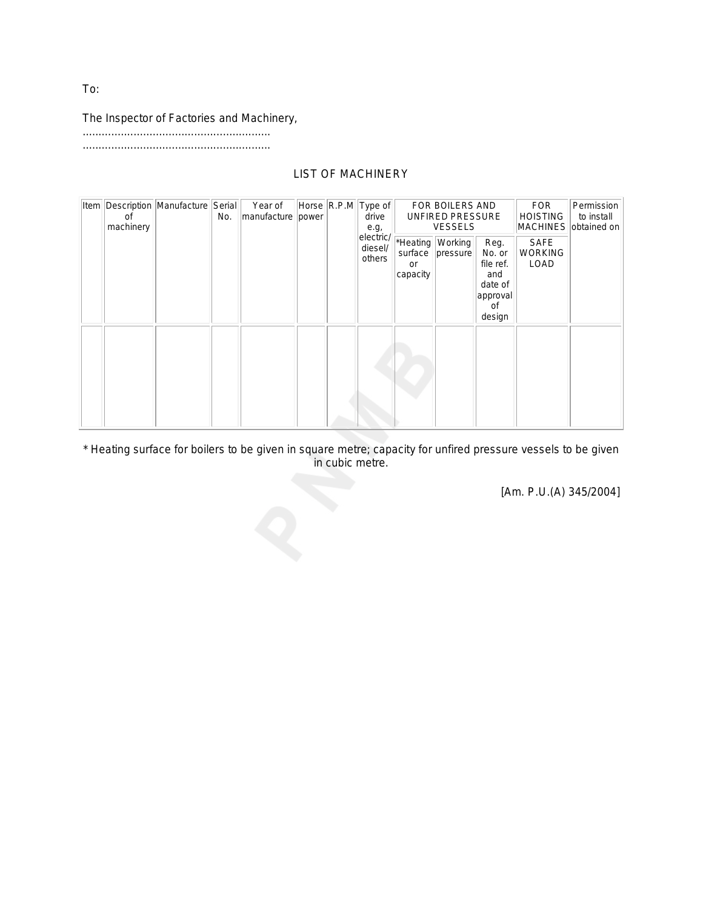# The Inspector of Factories and Machinery,

...........................................................

...........................................................

# LIST OF MACHINERY

| Item | οf<br>machinery | Description Manufacture Serial | No. | Year of<br>manufacture power |  |  |                                |                           |                              | Horse R.P.M Type of<br>e.g,                                               | drive                                 |  |  | FOR BOILERS AND<br>UNFIRED PRESSURE<br><b>VESSELS</b> |  |  | <b>FOR</b><br><b>HOISTING</b><br>MACHINES obtained on | Permission<br>to install |
|------|-----------------|--------------------------------|-----|------------------------------|--|--|--------------------------------|---------------------------|------------------------------|---------------------------------------------------------------------------|---------------------------------------|--|--|-------------------------------------------------------|--|--|-------------------------------------------------------|--------------------------|
|      |                 |                                |     |                              |  |  | electric/<br>diesel/<br>others | surface<br>or<br>capacity | *Heating Working<br>pressure | Reg.<br>No. or<br>file ref.<br>and<br>date of<br>approval<br>οf<br>design | <b>SAFE</b><br><b>WORKING</b><br>LOAD |  |  |                                                       |  |  |                                                       |                          |
|      |                 |                                |     |                              |  |  |                                |                           |                              |                                                                           |                                       |  |  |                                                       |  |  |                                                       |                          |

\* Heating surface for boilers to be given in square metre; capacity for unfired pressure vessels to be given in cubic metre.

*[Am. P.U.(A) 345/2004]*

To: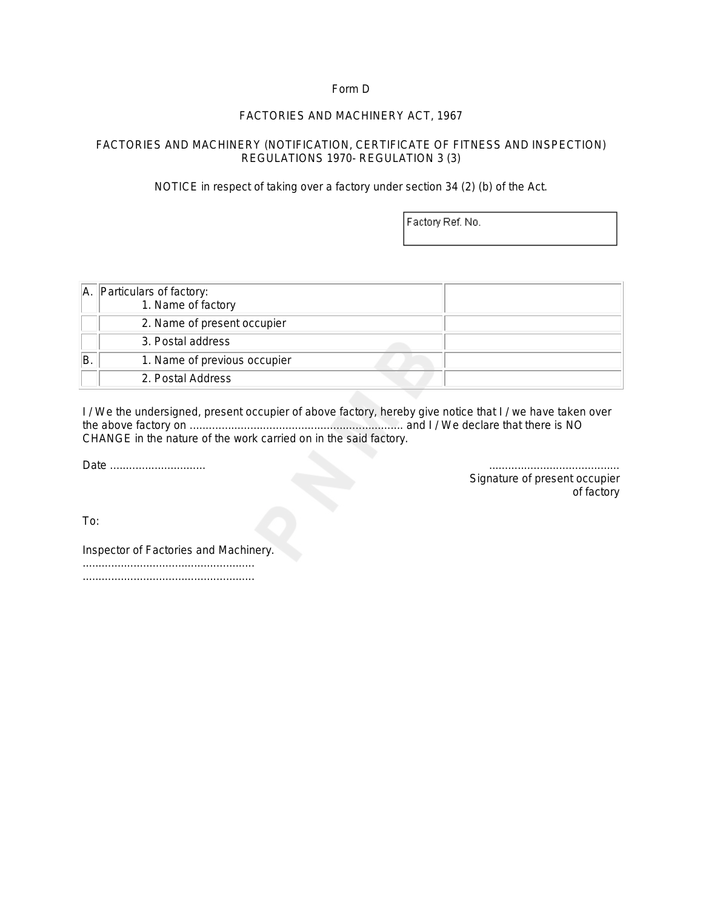# Form D

# *FACTORIES AND MACHINERY ACT, 1967*

# FACTORIES AND MACHINERY (NOTIFICATION, CERTIFICATE OF FITNESS AND INSPECTION) REGULATIONS 1970- REGULATION 3 (3)

NOTICE in respect of taking over a factory under section 34 (2) (*b*) of the Act.

Factory Ref. No.

|    | A. Particulars of factory:<br>1. Name of factory |  |
|----|--------------------------------------------------|--|
|    | 2. Name of present occupier                      |  |
|    | 3. Postal address                                |  |
| B. | 1. Name of previous occupier                     |  |
|    | 2. Postal Address                                |  |

I / We the undersigned, present occupier of above factory, hereby give notice that I / we have taken over the above factory on ................................................................... and I / We declare that there is NO CHANGE in the nature of the work carried on in the said factory.

*Date .............................. .........................................*

*Signature of present occupier of factory* 

To:

Inspector of Factories and Machinery.

...................................................... ......................................................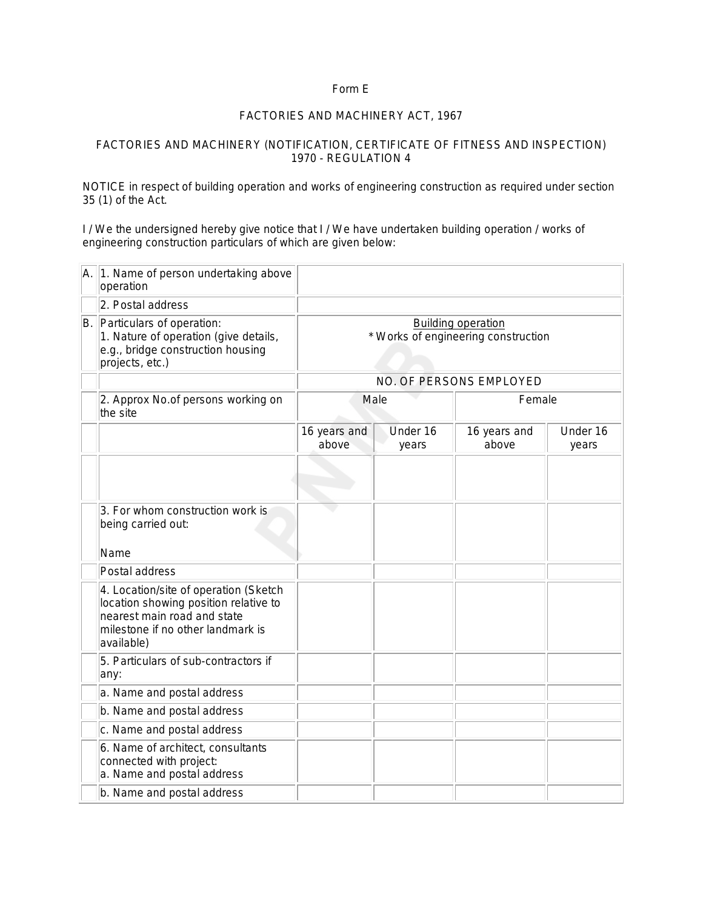# Form E

#### *FACTORIES AND MACHINERY ACT, 1967*

#### FACTORIES AND MACHINERY (NOTIFICATION, CERTIFICATE OF FITNESS AND INSPECTION) 1970 - REGULATION 4

NOTICE in respect of building operation and works of engineering construction as required under section 35 (1) of the Act.

I / We the undersigned hereby give notice that I / We have undertaken building operation / works of engineering construction particulars of which are given below:

| A. | 1. Name of person undertaking above<br>operation                                                                                                                 |                                                                  |                   |                         |                   |  |
|----|------------------------------------------------------------------------------------------------------------------------------------------------------------------|------------------------------------------------------------------|-------------------|-------------------------|-------------------|--|
|    | 2. Postal address                                                                                                                                                |                                                                  |                   |                         |                   |  |
| B. | Particulars of operation:<br>1. Nature of operation (give details,<br>e.g., bridge construction housing<br>projects, etc.)                                       | <b>Building operation</b><br>* Works of engineering construction |                   |                         |                   |  |
|    |                                                                                                                                                                  |                                                                  |                   | NO. OF PERSONS EMPLOYED |                   |  |
|    | 2. Approx No.of persons working on<br>the site                                                                                                                   | Male<br>Female                                                   |                   |                         |                   |  |
|    |                                                                                                                                                                  | 16 years and<br>above                                            | Under 16<br>years |                         | Under 16<br>years |  |
|    |                                                                                                                                                                  |                                                                  |                   |                         |                   |  |
|    | 3. For whom construction work is<br>being carried out:                                                                                                           |                                                                  |                   |                         |                   |  |
|    | Name                                                                                                                                                             |                                                                  |                   |                         |                   |  |
|    | Postal address                                                                                                                                                   |                                                                  |                   |                         |                   |  |
|    | 4. Location/site of operation (Sketch<br>location showing position relative to<br>nearest main road and state<br>milestone if no other landmark is<br>available) |                                                                  |                   |                         |                   |  |
|    | 5. Particulars of sub-contractors if<br>any:                                                                                                                     |                                                                  |                   |                         |                   |  |
|    | a. Name and postal address                                                                                                                                       |                                                                  |                   |                         |                   |  |
|    | b. Name and postal address                                                                                                                                       |                                                                  |                   |                         |                   |  |
|    | c. Name and postal address                                                                                                                                       |                                                                  |                   |                         |                   |  |
|    | 6. Name of architect, consultants<br>connected with project:<br>a. Name and postal address                                                                       |                                                                  |                   |                         |                   |  |
|    | b. Name and postal address                                                                                                                                       |                                                                  |                   |                         |                   |  |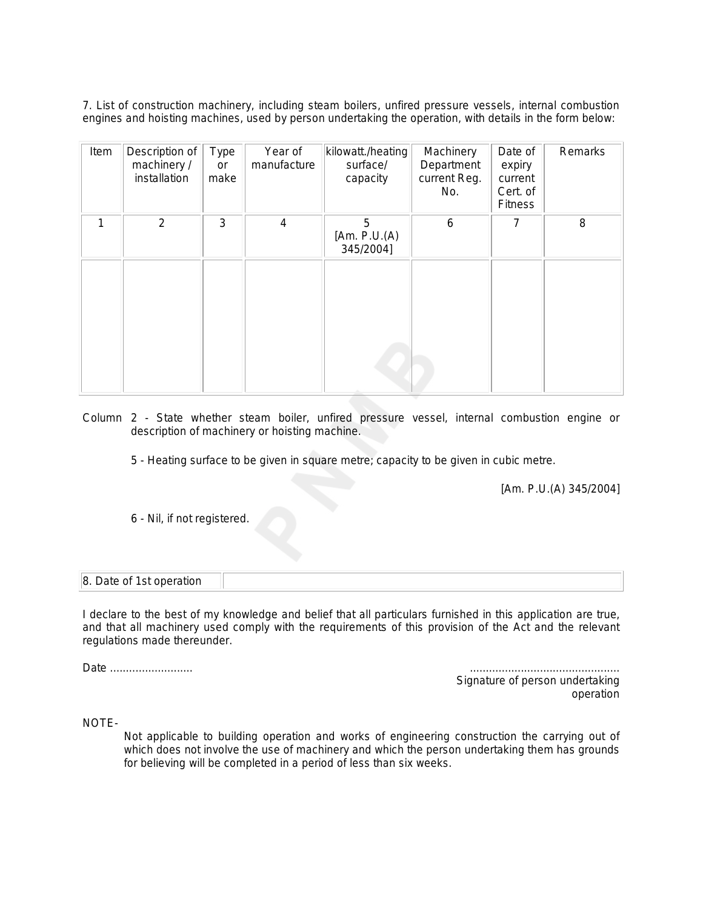7. List of construction machinery, including steam boilers, unfired pressure vessels, internal combustion engines and hoisting machines, used by person undertaking the operation, with details in the form below:

| Item | Description of<br>machinery /<br>installation | Type<br>or<br>make | Year of<br>manufacture | kilowatt./heating<br>surface/<br>capacity | Machinery<br>Department<br>current Reg.<br>No. | Date of<br>expiry<br>current<br>Cert. of<br><b>Fitness</b> | Remarks |
|------|-----------------------------------------------|--------------------|------------------------|-------------------------------------------|------------------------------------------------|------------------------------------------------------------|---------|
| 1    | $\overline{2}$                                | 3                  | $\overline{4}$         | 5<br>[Am. $P.U.(A)$<br>345/2004]          | 6                                              | $\overline{7}$                                             | 8       |
|      |                                               |                    |                        |                                           |                                                |                                                            |         |

Column 2 - State whether steam boiler, unfired pressure vessel, internal combustion engine or description of machinery or hoisting machine.

5 - Heating surface to be given in square metre; capacity to be given in cubic metre.

*[Am. P.U.(A) 345/2004]*

6 - Nil, if not registered.

| 8. Date of 1st operation |  |
|--------------------------|--|
|--------------------------|--|

I declare to the best of my knowledge and belief that all particulars furnished in this application are true, and that all machinery used comply with the requirements of this provision of the Act and the relevant regulations made thereunder.

*Date* .......................... ...............................................

*Signature of person undertaking operation*

NOTE-

Not applicable to building operation and works of engineering construction the carrying out of which does not involve the use of machinery and which the person undertaking them has grounds for believing will be completed in a period of less than six weeks.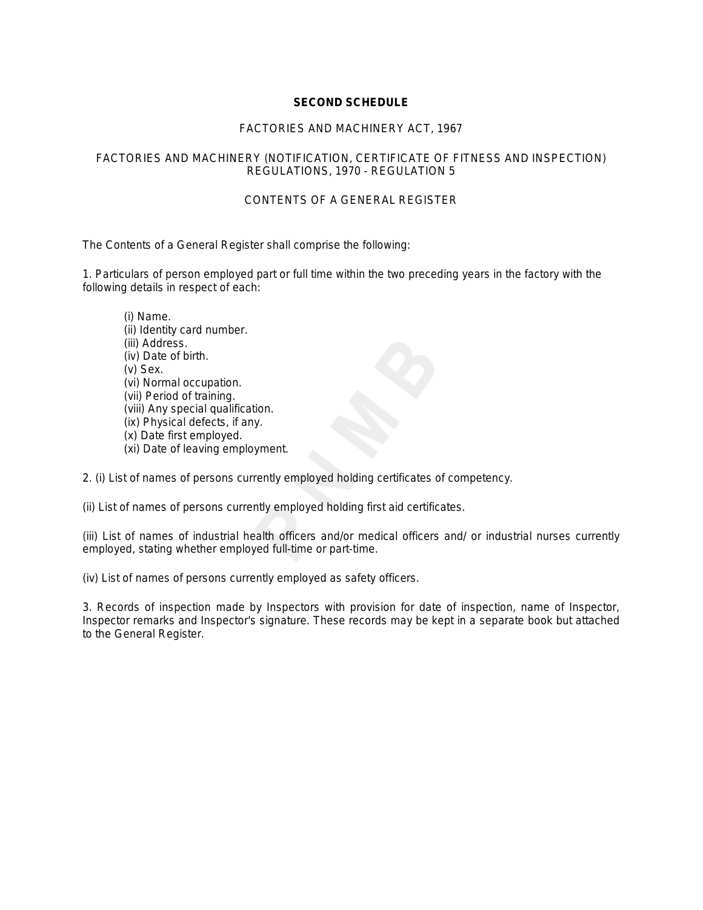# **SECOND SCHEDULE**

# *FACTORIES AND MACHINERY ACT, 1967*

# FACTORIES AND MACHINERY (NOTIFICATION, CERTIFICATE OF FITNESS AND INSPECTION) REGULATIONS, 1970 - REGULATION 5

# CONTENTS OF A GENERAL REGISTER

The Contents of a General Register shall comprise the following:

1. Particulars of person employed part or full time within the two preceding years in the factory with the following details in respect of each:

(i) Name. (ii) Identity card number. (iii) Address. (iv) Date of birth. (v) Sex. (vi) Normal occupation. (vii) Period of training. (viii) Any special qualification. (ix) Physical defects, if any. (x) Date first employed. (xi) Date of leaving employment.

2. (i) List of names of persons currently employed holding certificates of competency.

(ii) List of names of persons currently employed holding first aid certificates.

(iii) List of names of industrial health officers and/or medical officers and/ or industrial nurses currently employed, stating whether employed full-time or part-time.

(iv) List of names of persons currently employed as safety officers.

3. Records of inspection made by Inspectors with provision for date of inspection, name of Inspector, Inspector remarks and Inspector's signature. These records may be kept in a separate book but attached to the General Register.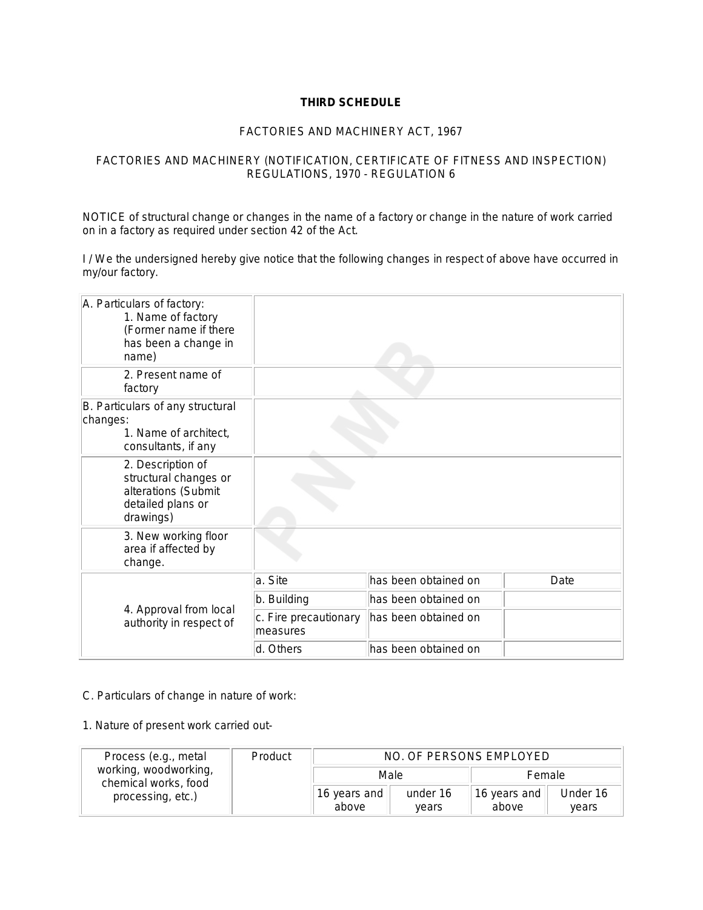# **THIRD SCHEDULE**

# *FACTORIES AND MACHINERY ACT, 1967*

# FACTORIES AND MACHINERY (NOTIFICATION, CERTIFICATE OF FITNESS AND INSPECTION) REGULATIONS, 1970 - REGULATION 6

NOTICE of structural change or changes in the name of a factory or change in the nature of work carried on in a factory as required under section 42 of the Act.

I / We the undersigned hereby give notice that the following changes in respect of above have occurred in my/our factory.

| A. Particulars of factory:<br>1. Name of factory<br>(Former name if there<br>has been a change in<br>name) |                                   |                      |      |
|------------------------------------------------------------------------------------------------------------|-----------------------------------|----------------------|------|
| 2. Present name of<br>factory                                                                              |                                   |                      |      |
| B. Particulars of any structural<br>changes:<br>1. Name of architect,<br>consultants, if any               |                                   |                      |      |
| 2. Description of<br>structural changes or<br>alterations (Submit<br>detailed plans or<br>drawings)        |                                   |                      |      |
| 3. New working floor<br>area if affected by<br>change.                                                     |                                   |                      |      |
|                                                                                                            | a. Site                           | has been obtained on | Date |
|                                                                                                            | b. Building                       | has been obtained on |      |
| 4. Approval from local<br>authority in respect of                                                          | c. Fire precautionary<br>measures | has been obtained on |      |
|                                                                                                            | d. Others                         | has been obtained on |      |

# C. *Particulars of change in nature of work:*

1. Nature of present work carried out-

| Process (e.g., metal                          | Product | NO. OF PERSONS EMPLOYED |                   |                       |                   |  |  |
|-----------------------------------------------|---------|-------------------------|-------------------|-----------------------|-------------------|--|--|
| working, woodworking,<br>chemical works, food |         | Male                    |                   | Female                |                   |  |  |
| processing, etc.)                             |         | 16 years and<br>above   | under 16<br>vears | 16 years and<br>above | Under 16<br>vears |  |  |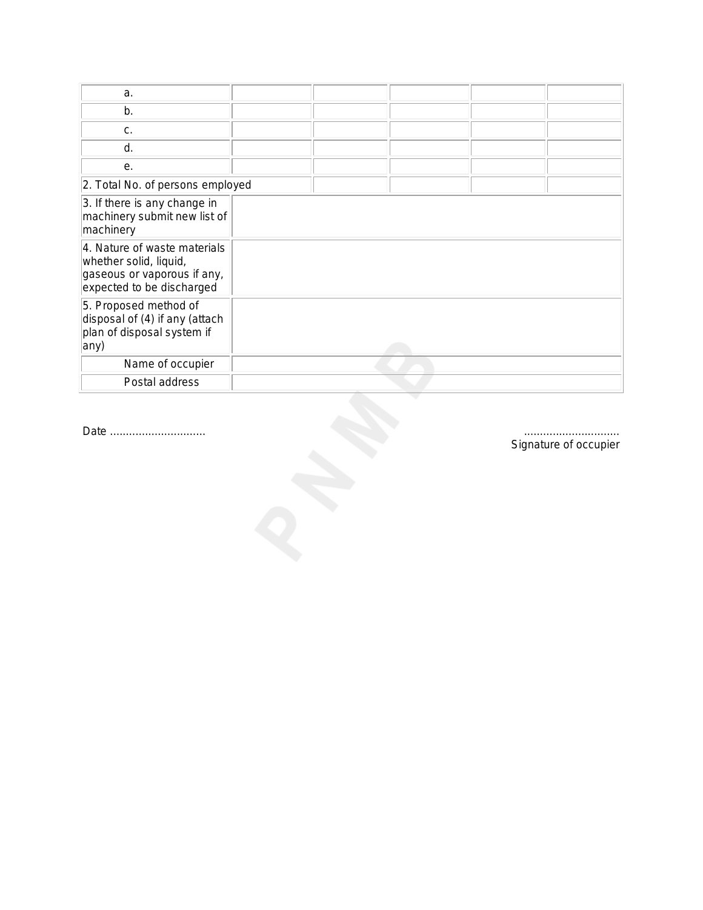| a.                                                                                                                 |  |  |  |
|--------------------------------------------------------------------------------------------------------------------|--|--|--|
| b.                                                                                                                 |  |  |  |
| C.                                                                                                                 |  |  |  |
| d.                                                                                                                 |  |  |  |
| е.                                                                                                                 |  |  |  |
| 2. Total No. of persons employed                                                                                   |  |  |  |
| 3. If there is any change in<br>machinery submit new list of<br>machinery                                          |  |  |  |
| 4. Nature of waste materials<br>whether solid, liquid,<br>gaseous or vaporous if any,<br>expected to be discharged |  |  |  |
| 5. Proposed method of<br>disposal of (4) if any (attach<br>plan of disposal system if<br>any)                      |  |  |  |
| Name of occupier                                                                                                   |  |  |  |
| Postal address                                                                                                     |  |  |  |

*Date .............................. ..............................*

*Signature of occupier*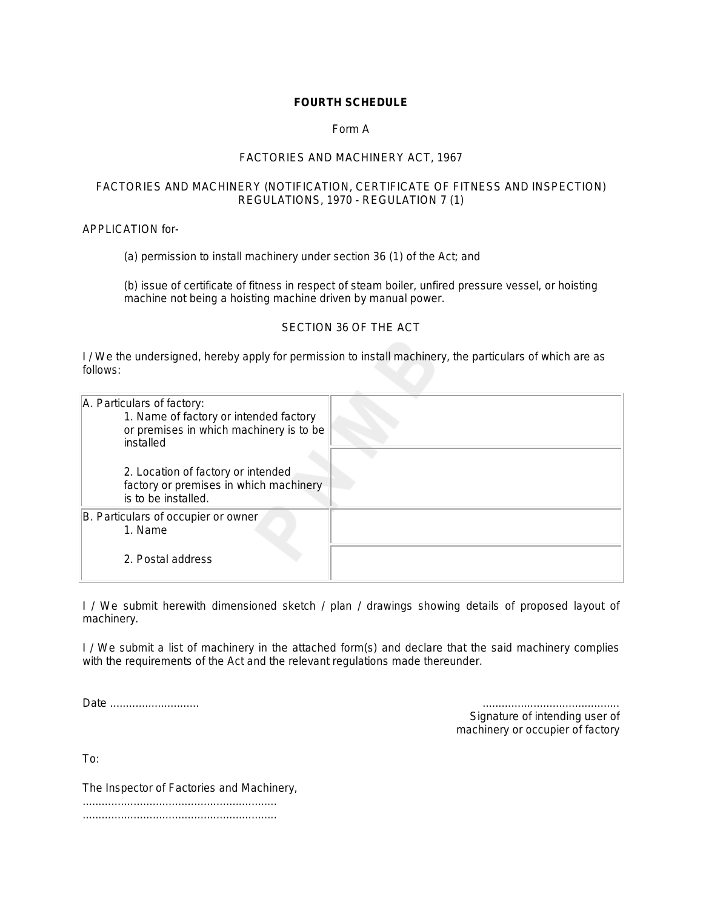# **FOURTH SCHEDULE**

# Form A

# *FACTORIES AND MACHINERY ACT, 1967*

# FACTORIES AND MACHINERY (NOTIFICATION, CERTIFICATE OF FITNESS AND INSPECTION) REGULATIONS, 1970 - REGULATION 7 (1)

APPLICATION for-

(a) permission to install machinery under section 36 (1) of the Act; and

(b) issue of certificate of fitness in respect of steam boiler, unfired pressure vessel, or hoisting machine not being a hoisting machine driven by manual power.

# SECTION 36 OF THE ACT

I / We the undersigned, hereby apply for permission to install machinery, the particulars of which are as follows:

| A. Particulars of factory:<br>1. Name of factory or intended factory<br>or premises in which machinery is to be<br>installed |  |
|------------------------------------------------------------------------------------------------------------------------------|--|
| 2. Location of factory or intended<br>factory or premises in which machinery<br>is to be installed.                          |  |
| B. Particulars of occupier or owner<br>1. Name                                                                               |  |
| 2. Postal address                                                                                                            |  |

I / We submit herewith dimensioned sketch / plan / drawings showing details of proposed layout of machinery.

I / We submit a list of machinery in the attached form(s) and declare that the said machinery complies with the requirements of the Act and the relevant regulations made thereunder.

*Date ..................*.......... *...........................................*

*Signature of intending user of machinery or occupier of factory*

To:

The Inspector of Factories and Machinery, ............................................................. .............................................................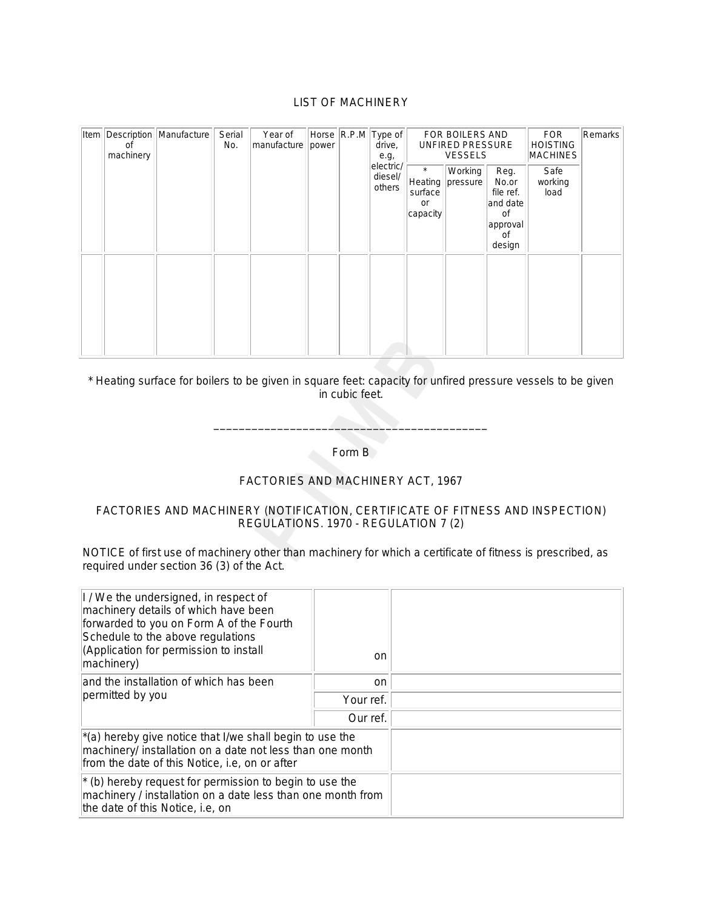# LIST OF MACHINERY

| Item | οf<br>machinery | Description   Manufacture | Serial<br>No. | Year of<br>manufacture<br>power | Horse R.P.M Type of<br>drive,<br>e.g, |                                | FOR BOILERS AND<br>UNFIRED PRESSURE<br><b>VESSELS</b> |                     |                                                                          | <b>FOR</b><br><b>HOISTING</b><br><b>MACHINES</b> | Remarks |
|------|-----------------|---------------------------|---------------|---------------------------------|---------------------------------------|--------------------------------|-------------------------------------------------------|---------------------|--------------------------------------------------------------------------|--------------------------------------------------|---------|
|      |                 |                           |               |                                 |                                       | electric/<br>diesel/<br>others | $\star$<br>Heating<br>surface<br>or<br>capacity       | Working<br>pressure | Reg.<br>No.or<br>file ref.<br>and date<br>0f<br>approval<br>0f<br>design | Safe<br>working<br>load                          |         |
|      |                 |                           |               |                                 |                                       |                                |                                                       |                     |                                                                          |                                                  |         |

# \* Heating surface for boilers to be given in square feet: capacity for unfired pressure vessels to be given in cubic feet.

Form B

\_\_\_\_\_\_\_\_\_\_\_\_\_\_\_\_\_\_\_\_\_\_\_\_\_\_\_\_\_\_\_\_\_\_\_\_\_\_\_\_\_\_\_

# *FACTORIES AND MACHINERY ACT, 1967*

# FACTORIES AND MACHINERY (NOTIFICATION, CERTIFICATE OF FITNESS AND INSPECTION) REGULATIONS. 1970 - REGULATION 7 (2)

NOTICE of first use of machinery other than machinery for which a certificate of fitness is prescribed, as required under section 36 (3) of the Act.

| I / We the undersigned, in respect of<br>machinery details of which have been<br>forwarded to you on Form A of the Fourth<br>Schedule to the above regulations<br>(Application for permission to install<br>machinery) | on        |  |
|------------------------------------------------------------------------------------------------------------------------------------------------------------------------------------------------------------------------|-----------|--|
| and the installation of which has been                                                                                                                                                                                 | on.       |  |
| permitted by you                                                                                                                                                                                                       | Your ref. |  |
|                                                                                                                                                                                                                        | Our ref.  |  |
| $\vert$ *(a) hereby give notice that I/we shall begin to use the<br>machinery/ installation on a date not less than one month<br>from the date of this Notice, i.e, on or after                                        |           |  |
| $*$ (b) hereby request for permission to begin to use the<br>machinery / installation on a date less than one month from<br>the date of this Notice, i.e, on                                                           |           |  |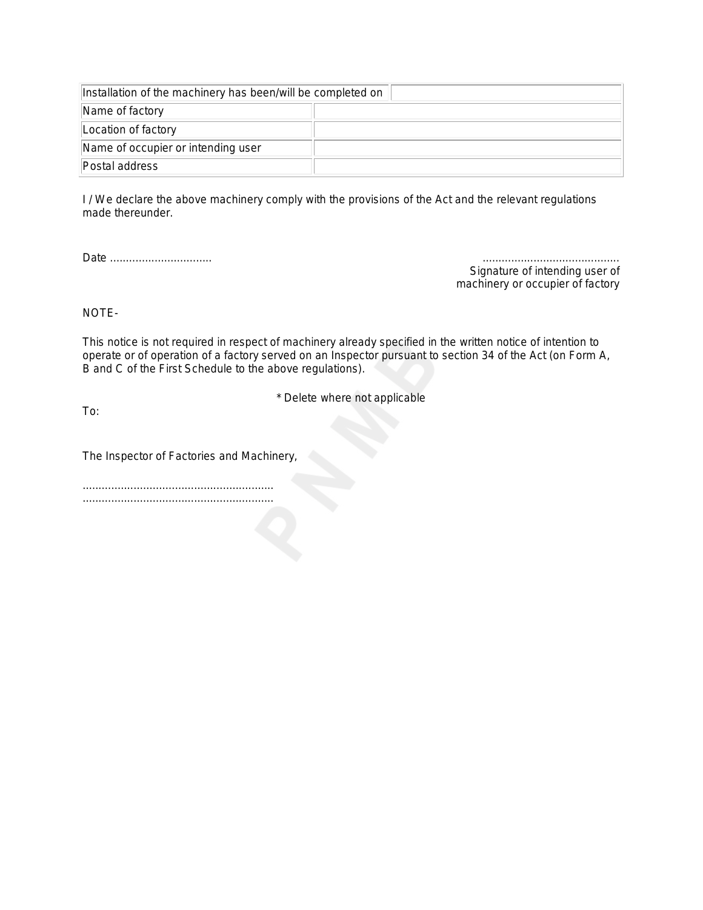| Installation of the machinery has been/will be completed on |  |  |  |  |  |
|-------------------------------------------------------------|--|--|--|--|--|
| Name of factory                                             |  |  |  |  |  |
| Location of factory                                         |  |  |  |  |  |
| Name of occupier or intending user                          |  |  |  |  |  |
| Postal address                                              |  |  |  |  |  |

I / We declare the above machinery comply with the provisions of the Act and the relevant regulations made thereunder.

*Date ................................ ...........................................*

*Signature of intending user of machinery or occupier of factory*

NOTE-

This notice is not required in respect of machinery already specified in the written notice of intention to operate or of operation of a factory served on an Inspector pursuant to section 34 of the Act (on Form A, B and C of the First Schedule to the above regulations).

\* Delete where not applicable

To:

The Inspector of Factories and Machinery,

............................................................ ............................................................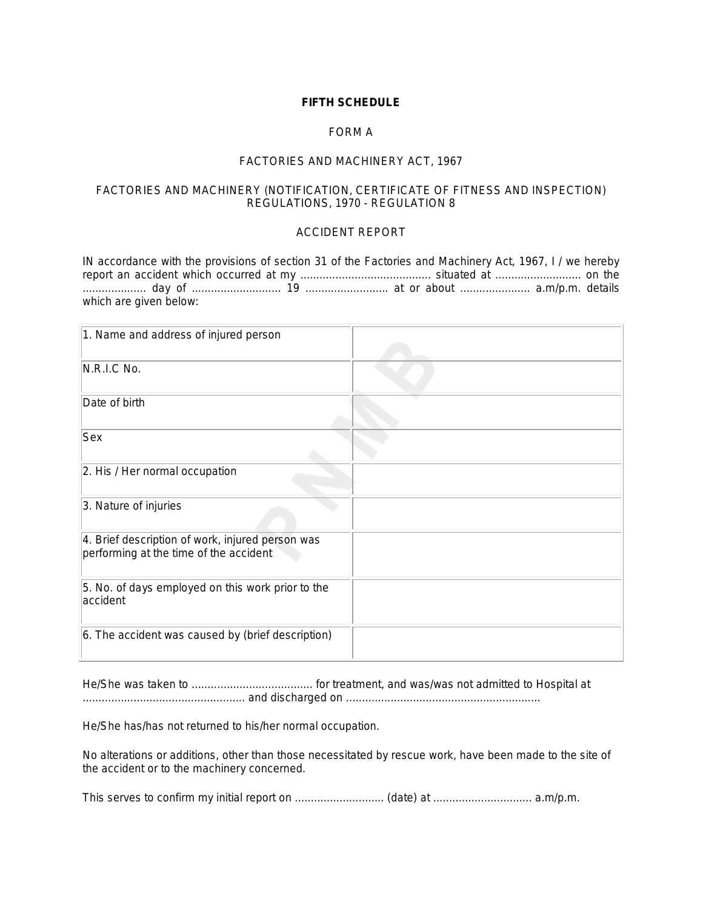# **FIFTH SCHEDULE**

# FORM A

# *FACTORIES AND MACHINERY ACT, 1967*

# FACTORIES AND MACHINERY (NOTIFICATION, CERTIFICATE OF FITNESS AND INSPECTION) REGULATIONS, 1970 - REGULATION 8

# ACCIDENT REPORT

IN accordance with the provisions of section 31 of the Factories and Machinery Act, 1967, I / we hereby report an accident which occurred at my ......................................... situated at ........................... on the .................... day of ............................ 19 .......................... at or about ...................... a.m/p.m. details which are given below:

| 1. Name and address of injured person                                                      |  |
|--------------------------------------------------------------------------------------------|--|
| N.R.I.C No.                                                                                |  |
| Date of birth                                                                              |  |
| Sex                                                                                        |  |
| 2. His / Her normal occupation                                                             |  |
| 3. Nature of injuries                                                                      |  |
| 4. Brief description of work, injured person was<br>performing at the time of the accident |  |
| 5. No. of days employed on this work prior to the<br>accident                              |  |
| 6. The accident was caused by (brief description)                                          |  |

He/She was taken to ...................................... for treatment, and was/was not admitted to Hospital at ................................................... and discharged on .............................................................

He/She has/has not returned to his/her normal occupation.

No alterations or additions, other than those necessitated by rescue work, have been made to the site of the accident or to the machinery concerned.

This serves to confirm my initial report on ............................ (date) at ............................... a.m/p.m.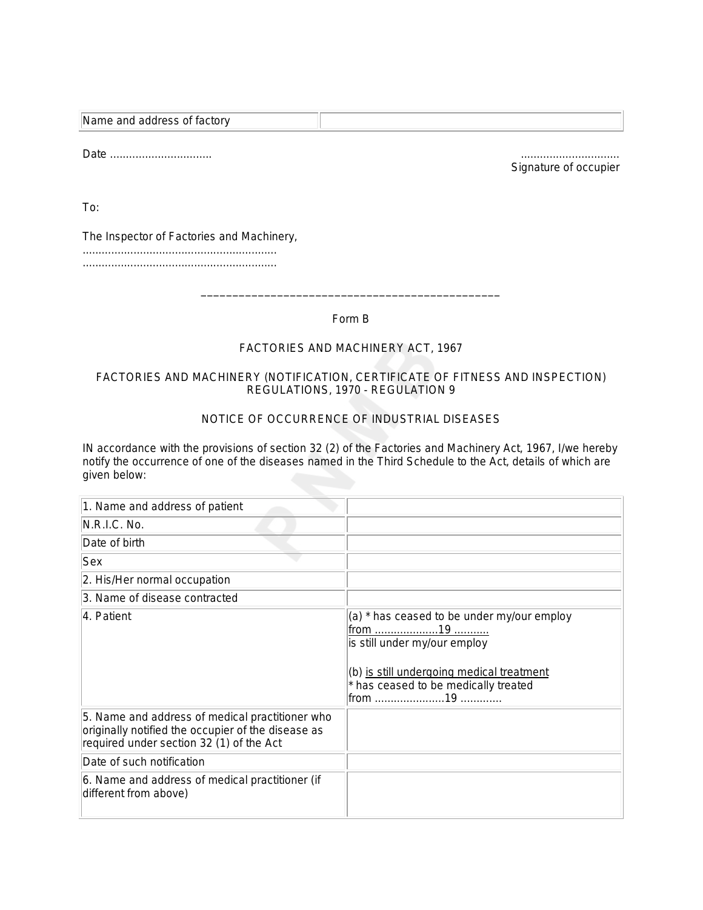| Name and address of factory |  |
|-----------------------------|--|

*Date* ................................ ...............................

*Signature of occupier*

To:

The Inspector of Factories and Machinery,

............................................................. .............................................................

Form B

\_\_\_\_\_\_\_\_\_\_\_\_\_\_\_\_\_\_\_\_\_\_\_\_\_\_\_\_\_\_\_\_\_\_\_\_\_\_\_\_\_\_\_\_\_\_\_

# *FACTORIES AND MACHINERY ACT, 1967*

# FACTORIES AND MACHINERY (NOTIFICATION, CERTIFICATE OF FITNESS AND INSPECTION) REGULATIONS, 1970 - REGULATION 9

# NOTICE OF OCCURRENCE OF INDUSTRIAL DISEASES

IN accordance with the provisions of section 32 (2) of the Factories and Machinery Act, 1967, I/we hereby notify the occurrence of one of the diseases named in the Third Schedule to the Act, details of which are given below:

| 1. Name and address of patient                                                                                                                    |                                                                                                                                                                                    |
|---------------------------------------------------------------------------------------------------------------------------------------------------|------------------------------------------------------------------------------------------------------------------------------------------------------------------------------------|
| N.R.I.C. No.                                                                                                                                      |                                                                                                                                                                                    |
| Date of birth                                                                                                                                     |                                                                                                                                                                                    |
| Sex                                                                                                                                               |                                                                                                                                                                                    |
| 2. His/Her normal occupation                                                                                                                      |                                                                                                                                                                                    |
| 3. Name of disease contracted                                                                                                                     |                                                                                                                                                                                    |
| 4. Patient                                                                                                                                        | (a) * has ceased to be under my/our employ<br><u>from 19 </u><br>is still under my/our employ<br>(b) is still undergoing medical treatment<br>* has ceased to be medically treated |
| 5. Name and address of medical practitioner who<br>originally notified the occupier of the disease as<br>required under section 32 (1) of the Act |                                                                                                                                                                                    |
| Date of such notification                                                                                                                         |                                                                                                                                                                                    |
| 6. Name and address of medical practitioner (if<br>different from above)                                                                          |                                                                                                                                                                                    |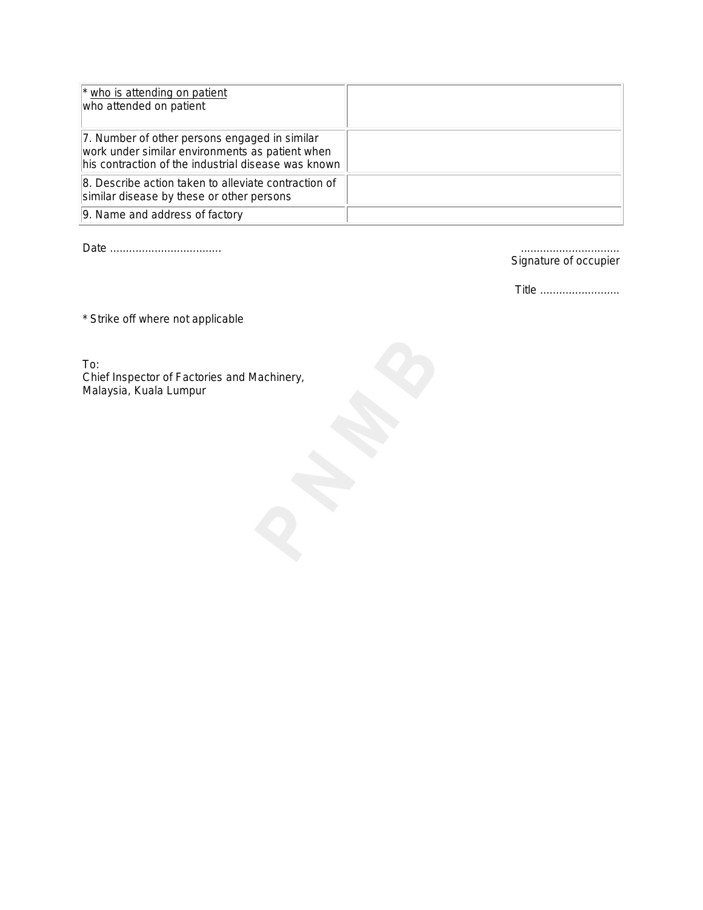| * who is attending on patient<br>who attended on patient                                                                                                |  |
|---------------------------------------------------------------------------------------------------------------------------------------------------------|--|
| 7. Number of other persons engaged in similar<br>work under similar environments as patient when<br>his contraction of the industrial disease was known |  |
| 8. Describe action taken to alleviate contraction of<br>similar disease by these or other persons                                                       |  |
| 9. Name and address of factory                                                                                                                          |  |

*Date ................................... ...............................*

*Signature of occupier*

*Title* .........................

\* Strike off where not applicable

To: Chief Inspector of Factories and Machinery, Malaysia, Kuala Lumpur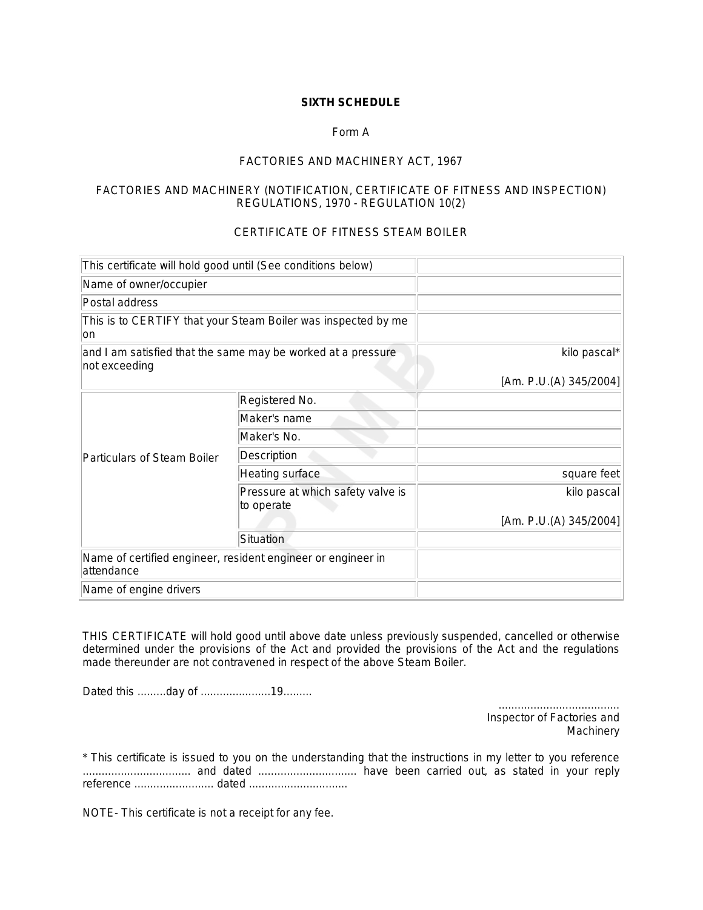# **SIXTH SCHEDULE**

# Form A

# *FACTORIES AND MACHINERY ACT, 1967*

# FACTORIES AND MACHINERY (NOTIFICATION, CERTIFICATE OF FITNESS AND INSPECTION) REGULATIONS, 1970 - REGULATION 10(2)

# CERTIFICATE OF FITNESS STEAM BOILER

| This certificate will hold good until (See conditions below)                  |                                                              |                        |
|-------------------------------------------------------------------------------|--------------------------------------------------------------|------------------------|
| Name of owner/occupier                                                        |                                                              |                        |
| Postal address                                                                |                                                              |                        |
| This is to CERTIFY that your Steam Boiler was inspected by me<br>lon          |                                                              |                        |
| and I am satisfied that the same may be worked at a pressure<br>not exceeding |                                                              | kilo pascal*           |
|                                                                               |                                                              | [Am. P.U.(A) 345/2004] |
|                                                                               | Registered No.                                               |                        |
| Particulars of Steam Boiler                                                   | Maker's name                                                 |                        |
|                                                                               | Maker's No.                                                  |                        |
|                                                                               | Description                                                  |                        |
|                                                                               | Heating surface                                              | square feet            |
|                                                                               | Pressure at which safety valve is<br>to operate              | kilo pascal            |
|                                                                               |                                                              | [Am. P.U.(A) 345/2004] |
|                                                                               | Situation                                                    |                        |
| attendance                                                                    | Name of certified engineer, resident engineer or engineer in |                        |
| Name of engine drivers                                                        |                                                              |                        |

THIS CERTIFICATE will hold good until above date unless previously suspended, cancelled or otherwise determined under the provisions of the Act and provided the provisions of the Act and the regulations made thereunder are not contravened in respect of the above Steam Boiler.

Dated this .........day of ......................19.........

...................................... *Inspector of Factories and Machinery*

\* This certificate is issued to you on the understanding that the instructions in my letter to you reference .................................. and dated ............................... have been carried out, as stated in your reply reference ......................... dated ...............................

NOTE- This certificate is not a receipt for any fee.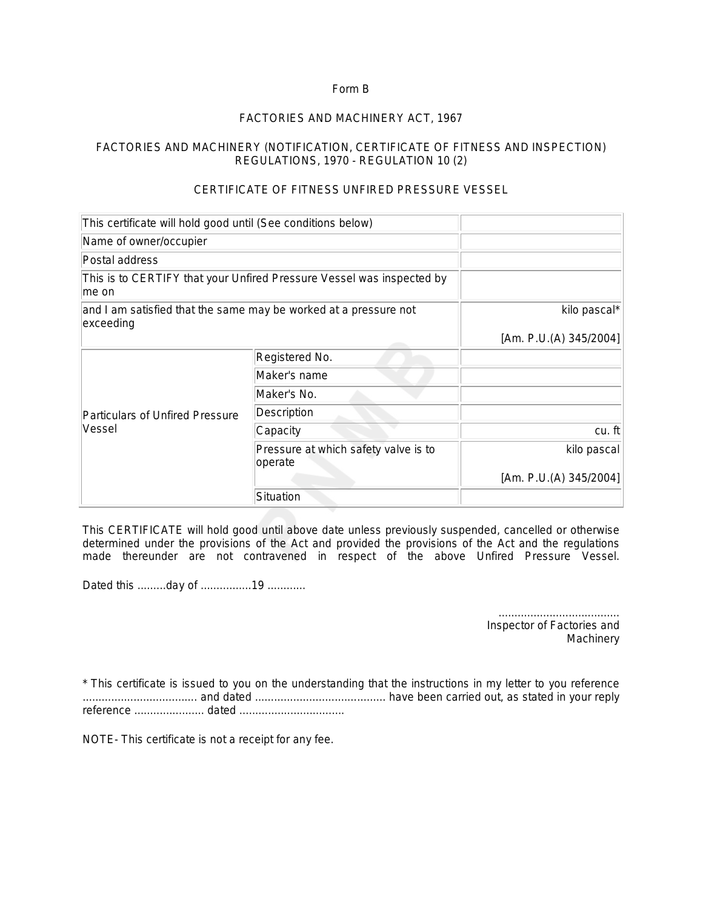# Form B

# *FACTORIES AND MACHINERY ACT, 1967*

# FACTORIES AND MACHINERY (NOTIFICATION, CERTIFICATE OF FITNESS AND INSPECTION) REGULATIONS, 1970 - REGULATION 10 (2)

# CERTIFICATE OF FITNESS UNFIRED PRESSURE VESSEL

| This certificate will hold good until (See conditions below)                   |                                                                  |                           |
|--------------------------------------------------------------------------------|------------------------------------------------------------------|---------------------------|
| Name of owner/occupier                                                         |                                                                  |                           |
| Postal address                                                                 |                                                                  |                           |
| This is to CERTIFY that your Unfired Pressure Vessel was inspected by<br>me on |                                                                  |                           |
| exceeding                                                                      | and I am satisfied that the same may be worked at a pressure not | kilo pascal*              |
|                                                                                |                                                                  | [Am. P.U.(A) $345/2004$ ] |
| <b>Particulars of Unfired Pressure</b><br>Vessel                               | Registered No.                                                   |                           |
|                                                                                | Maker's name                                                     |                           |
|                                                                                | Maker's No.                                                      |                           |
|                                                                                | Description                                                      |                           |
|                                                                                | Capacity                                                         | $cu.$ ft                  |
|                                                                                | Pressure at which safety valve is to<br>operate                  | kilo pascal               |
|                                                                                |                                                                  | [Am. P.U.(A) $345/2004$ ] |
|                                                                                | Situation                                                        |                           |

This CERTIFICATE will hold good until above date unless previously suspended, cancelled or otherwise determined under the provisions of the Act and provided the provisions of the Act and the regulations made thereunder are not contravened in respect of the above Unfired Pressure Vessel.

Dated this .........day of ................19 ............

...................................... *Inspector of Factories and Machinery*

\* This certificate is issued to you on the understanding that the instructions in my letter to you reference .................................... and dated ......................................... have been carried out, as stated in your reply reference ...................... dated .................................

NOTE- This certificate is not a receipt for any fee.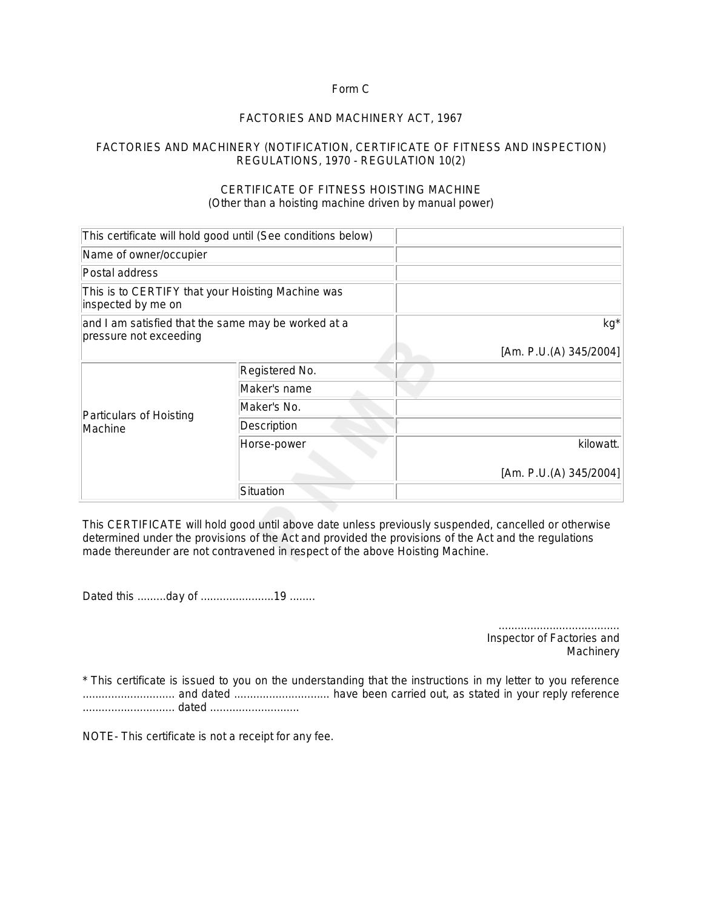# Form C

# *FACTORIES AND MACHINERY ACT, 1967*

# FACTORIES AND MACHINERY (NOTIFICATION, CERTIFICATE OF FITNESS AND INSPECTION) REGULATIONS, 1970 - REGULATION 10(2)

# CERTIFICATE OF FITNESS HOISTING MACHINE (Other than a hoisting machine driven by manual power)

|                                                                               | This certificate will hold good until (See conditions below) |                        |
|-------------------------------------------------------------------------------|--------------------------------------------------------------|------------------------|
| Name of owner/occupier                                                        |                                                              |                        |
| Postal address                                                                |                                                              |                        |
| This is to CERTIFY that your Hoisting Machine was<br>inspected by me on       |                                                              |                        |
| and I am satisfied that the same may be worked at a<br>pressure not exceeding |                                                              | kg*                    |
|                                                                               |                                                              | [Am. P.U.(A) 345/2004] |
| Particulars of Hoisting<br>Machine                                            | Registered No.                                               |                        |
|                                                                               | Maker's name                                                 |                        |
|                                                                               | Maker's No.                                                  |                        |
|                                                                               | Description                                                  |                        |
|                                                                               | Horse-power                                                  | kilowatt.              |
|                                                                               |                                                              | [Am. P.U.(A) 345/2004] |
|                                                                               | Situation                                                    |                        |

This CERTIFICATE will hold good until above date unless previously suspended, cancelled or otherwise determined under the provisions of the Act and provided the provisions of the Act and the regulations made thereunder are not contravened in respect of the above Hoisting Machine.

Dated this .........day of .......................19 ........

...................................... *Inspector of Factories and Machinery*

\* This certificate is issued to you on the understanding that the instructions in my letter to you reference ............................. and dated .............................. have been carried out, as stated in your reply reference ............................. dated ............................

NOTE- This certificate is not a receipt for any fee.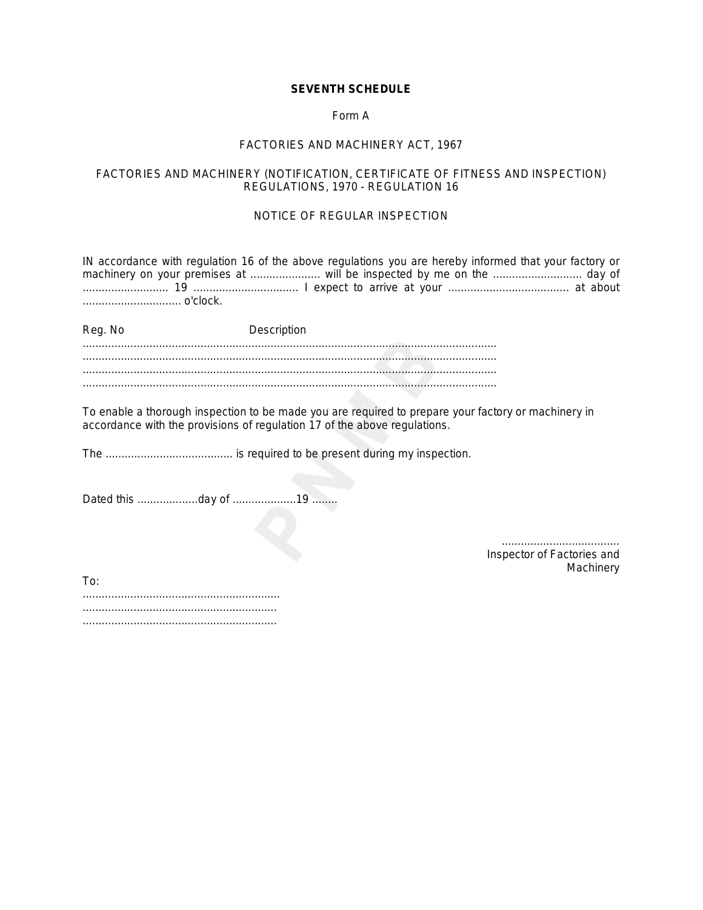# **SEVENTH SCHEDULE**

# Form A

#### *FACTORIES AND MACHINERY ACT, 1967*

# FACTORIES AND MACHINERY (NOTIFICATION, CERTIFICATE OF FITNESS AND INSPECTION) REGULATIONS, 1970 - REGULATION 16

# NOTICE OF REGULAR INSPECTION

IN accordance with regulation 16 of the above regulations you are hereby informed that your factory or machinery on your premises at ...................... will be inspected by me on the ............................ day of ........................... 19 ................................. I expect to arrive at your ...................................... at about ............................... o'clock.

Reg. No **Description** .................................................................................................................................. .................................................................................................................................. ..................................................................................................................................

To enable a thorough inspection to be made you are required to prepare your factory or machinery in accordance with the provisions of regulation 17 of the above regulations.

The ........................................ is required to be present during my inspection.

Dated this ...................day of ....................19 ........

..................................... *Inspector of Factories and Machinery*

To: .............................................................. ............................................................. .............................................................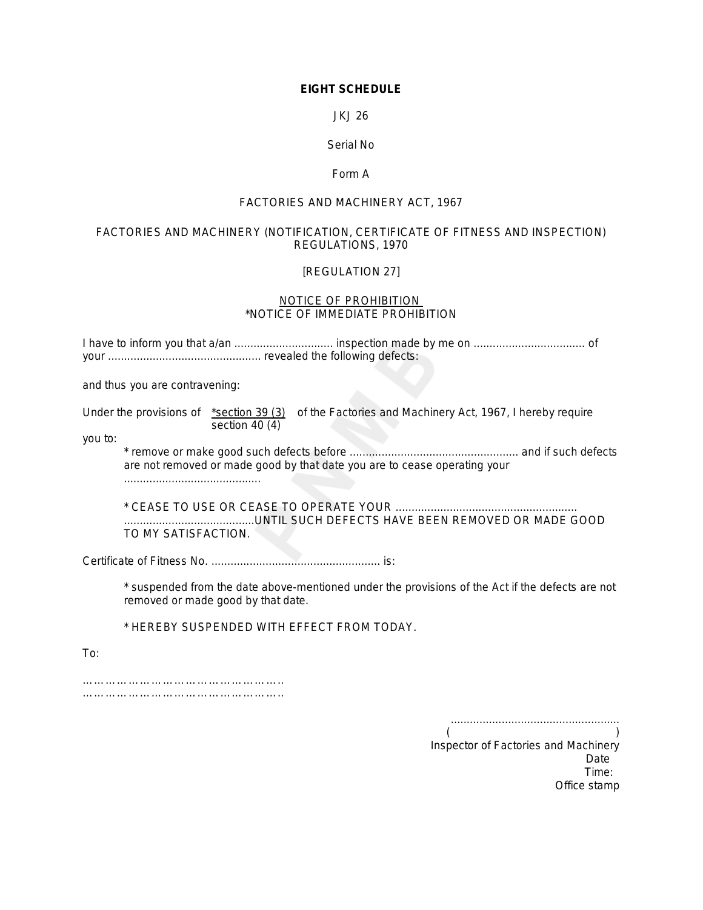# **EIGHT SCHEDULE**

JKJ 26

# Serial No

# Form A

# *FACTORIES AND MACHINERY ACT, 1967*

# FACTORIES AND MACHINERY (NOTIFICATION, CERTIFICATE OF FITNESS AND INSPECTION) REGULATIONS, 1970

# [REGULATION 27]

#### NOTICE OF PROHIBITION \*NOTICE OF IMMEDIATE PROHIBITION

I have to inform you that a/an ............................... inspection made by me on ................................... of your ................................................ revealed the following defects:

and thus you are contravening:

Under the provisions of \*section 39 (3) of the Factories and Machinery Act, 1967, I hereby require section 40 (4)

you to:

\* remove or make good such defects before ..................................................... and if such defects are not removed or made good by that date you are to cease operating your ...........................................

\* CEASE TO USE OR CEASE TO OPERATE YOUR ......................................................... .........................................UNTIL SUCH DEFECTS HAVE BEEN REMOVED OR MADE GOOD TO MY SATISFACTION.

Certificate of Fitness No. ..................................................... is:

\* suspended from the date above-mentioned under the provisions of the Act if the defects are not removed or made good by that date.

\* HEREBY SUSPENDED WITH EFFECT FROM TODAY.

To:

…………………………………………….. ……………………………………………………

> ..................................................... *( ) Inspector of Factories and Machinery Date Time: Office stamp*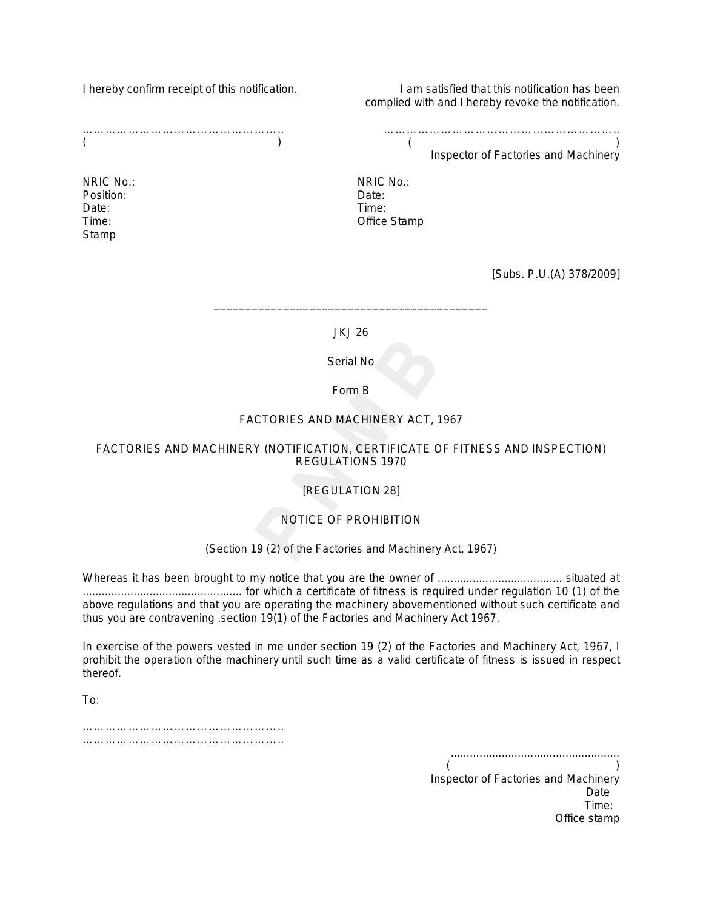I hereby confirm receipt of this notification.

……………………………………………..  $($ 

NRIC No.: Position: Date: Time: Stamp

I am satisfied that this notification has been complied with and I hereby revoke the notification.

……………………………………………………..  $($ 

Inspector of Factories and Machinery

NRIC No.: Date: Time: Office Stamp

*[Subs. P.U.(A) 378/2009*]

JKJ 26

\_\_\_\_\_\_\_\_\_\_\_\_\_\_\_\_\_\_\_\_\_\_\_\_\_\_\_\_\_\_\_\_\_\_\_\_\_\_\_\_\_\_\_

Serial No

Form B

# *FACTORIES AND MACHINERY ACT, 1967*

# FACTORIES AND MACHINERY (NOTIFICATION, CERTIFICATE OF FITNESS AND INSPECTION) REGULATIONS 1970

# [REGULATION 28]

# NOTICE OF PROHIBITION

# (Section 19 (2) of the Factories and Machinery Act, 1967)

Whereas it has been brought to my notice that you are the owner of ....................................... situated at .................................................. for which a certificate of fitness is required under regulation 10 (1) of the above regulations and that you are operating the machinery abovementioned without such certificate and thus you are contravening .section 19(1) of the Factories and Machinery Act 1967.

In exercise of the powers vested in me under section 19 (2) of the Factories and Machinery Act, 1967, I prohibit the operation ofthe machinery until such time as a valid certificate of fitness is issued in respect thereof.

To:

…………………………………………….. ………………………………………………………

..................................................... *( ) Inspector of Factories and Machinery Date Time: Office stamp*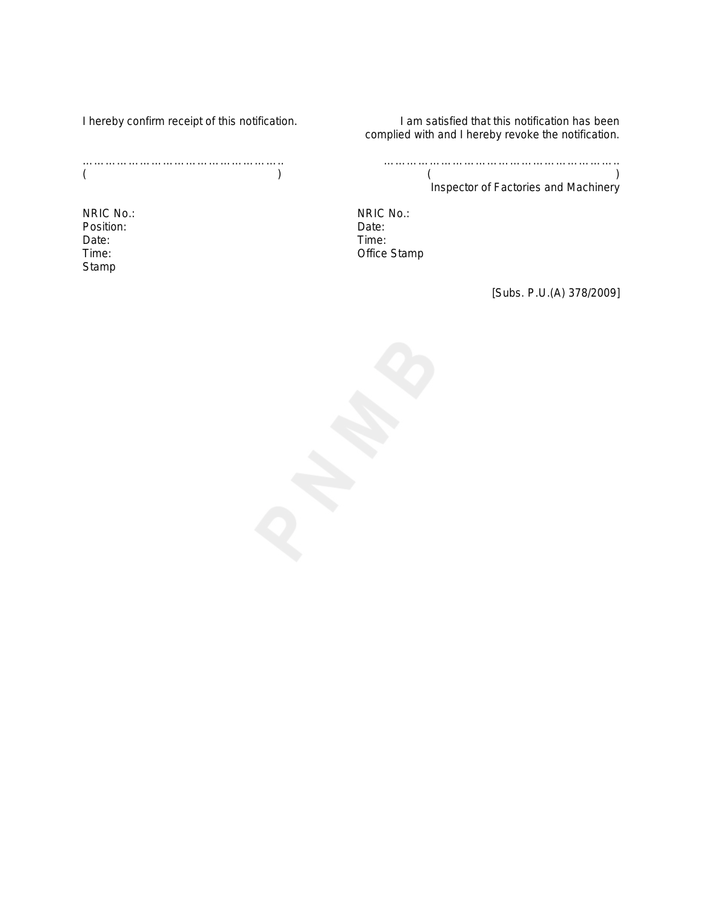I hereby confirm receipt of this notification.

NRIC No.: Position: Date: Time: Stamp

I am satisfied that this notification has been complied with and I hereby revoke the notification.

……………………………………………………..  $($ Inspector of Factories and Machinery

NRIC No.: Date: Time: Office Stamp

*[Subs. P.U.(A) 378/2009*]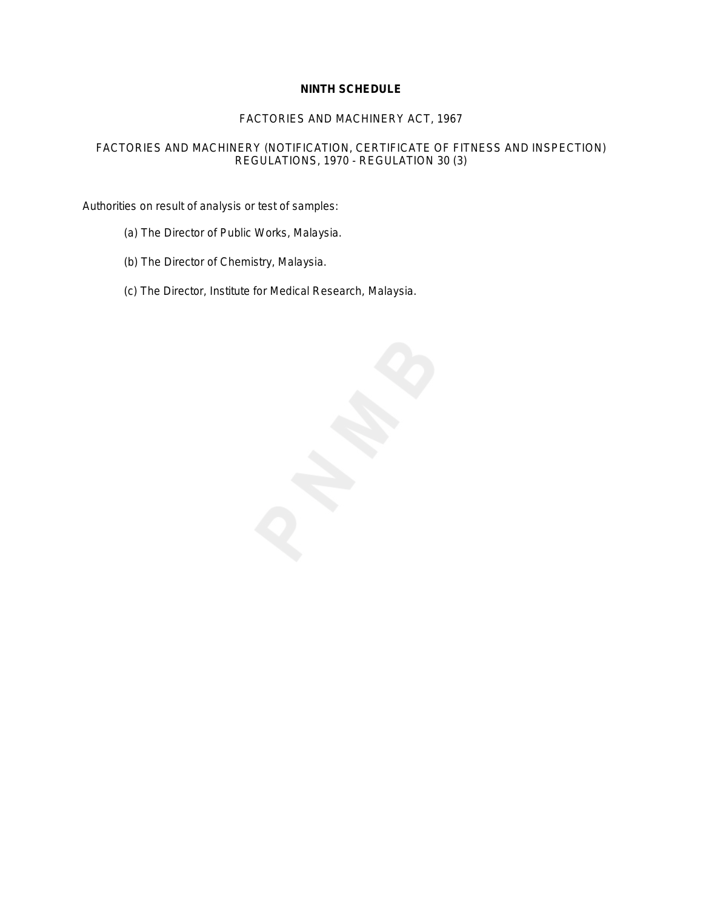# **NINTH SCHEDULE**

# *FACTORIES AND MACHINERY ACT, 1967*

# FACTORIES AND MACHINERY (NOTIFICATION, CERTIFICATE OF FITNESS AND INSPECTION) REGULATIONS, 1970 - REGULATION 30 (3)

*Authorities on result of analysis or test of samples:*

- (a) The Director of Public Works, Malaysia.
- (b) The Director of Chemistry, Malaysia.
- (c) The Director, Institute for Medical Research, Malaysia.